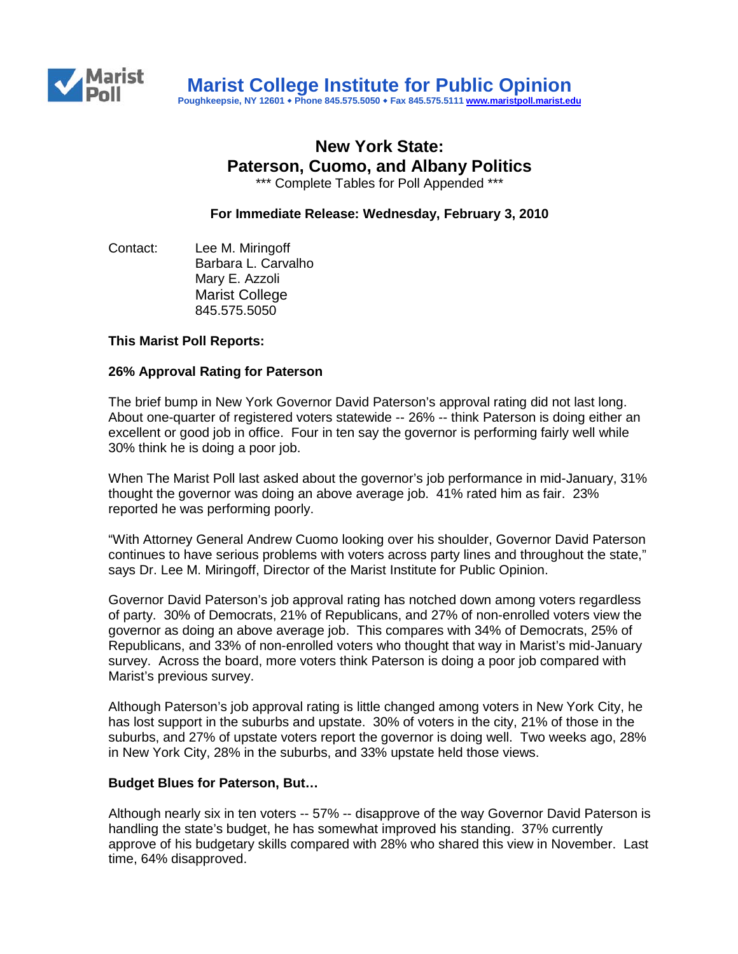

# **New York State: Paterson, Cuomo, and Albany Politics**

\*\*\* Complete Tables for Poll Appended \*\*\*

**For Immediate Release: Wednesday, February 3, 2010**

Contact: Lee M. Miringoff Barbara L. Carvalho Mary E. Azzoli Marist College 845.575.5050

# **This Marist Poll Reports:**

#### **26% Approval Rating for Paterson**

The brief bump in New York Governor David Paterson's approval rating did not last long. About one-quarter of registered voters statewide -- 26% -- think Paterson is doing either an excellent or good job in office. Four in ten say the governor is performing fairly well while 30% think he is doing a poor job.

When The Marist Poll last asked about the governor's job performance in mid-January, 31% thought the governor was doing an above average job. 41% rated him as fair. 23% reported he was performing poorly.

"With Attorney General Andrew Cuomo looking over his shoulder, Governor David Paterson continues to have serious problems with voters across party lines and throughout the state," says Dr. Lee M. Miringoff, Director of the Marist Institute for Public Opinion.

Governor David Paterson's job approval rating has notched down among voters regardless of party. 30% of Democrats, 21% of Republicans, and 27% of non-enrolled voters view the governor as doing an above average job. This compares with 34% of Democrats, 25% of Republicans, and 33% of non-enrolled voters who thought that way in Marist's mid-January survey. Across the board, more voters think Paterson is doing a poor job compared with Marist's previous survey.

Although Paterson's job approval rating is little changed among voters in New York City, he has lost support in the suburbs and upstate. 30% of voters in the city, 21% of those in the suburbs, and 27% of upstate voters report the governor is doing well. Two weeks ago, 28% in New York City, 28% in the suburbs, and 33% upstate held those views.

#### **Budget Blues for Paterson, But…**

Although nearly six in ten voters -- 57% -- disapprove of the way Governor David Paterson is handling the state's budget, he has somewhat improved his standing. 37% currently approve of his budgetary skills compared with 28% who shared this view in November. Last time, 64% disapproved.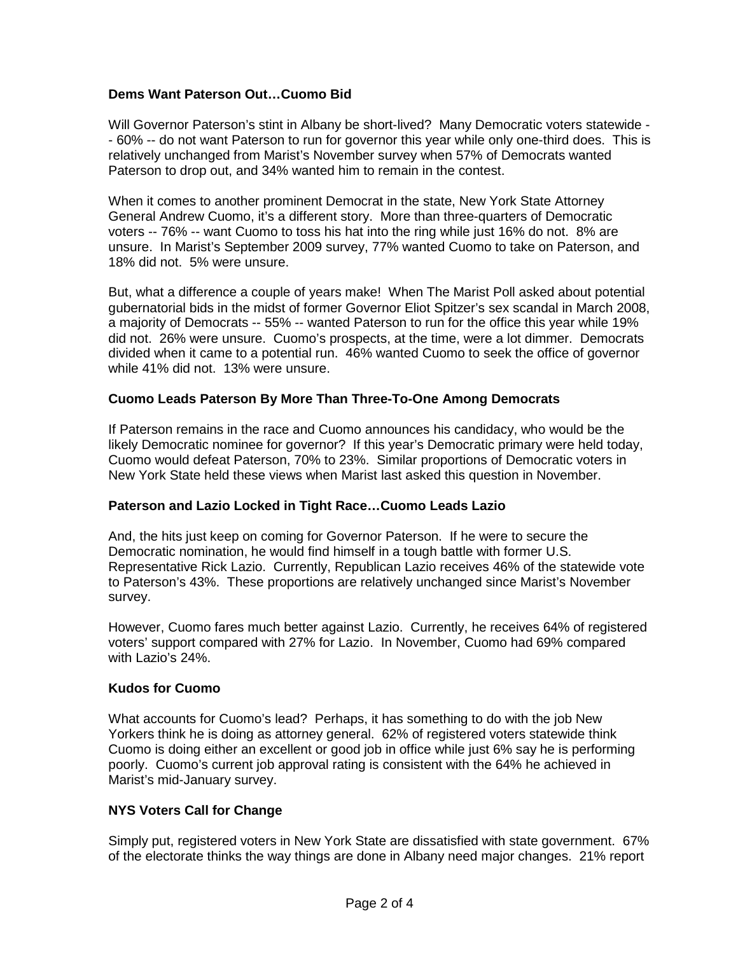# **Dems Want Paterson Out…Cuomo Bid**

Will Governor Paterson's stint in Albany be short-lived? Many Democratic voters statewide - - 60% -- do not want Paterson to run for governor this year while only one-third does. This is relatively unchanged from Marist's November survey when 57% of Democrats wanted Paterson to drop out, and 34% wanted him to remain in the contest.

When it comes to another prominent Democrat in the state, New York State Attorney General Andrew Cuomo, it's a different story. More than three-quarters of Democratic voters -- 76% -- want Cuomo to toss his hat into the ring while just 16% do not. 8% are unsure. In Marist's September 2009 survey, 77% wanted Cuomo to take on Paterson, and 18% did not. 5% were unsure.

But, what a difference a couple of years make! When The Marist Poll asked about potential gubernatorial bids in the midst of former Governor Eliot Spitzer's sex scandal in March 2008, a majority of Democrats -- 55% -- wanted Paterson to run for the office this year while 19% did not. 26% were unsure. Cuomo's prospects, at the time, were a lot dimmer. Democrats divided when it came to a potential run. 46% wanted Cuomo to seek the office of governor while 41% did not. 13% were unsure.

# **Cuomo Leads Paterson By More Than Three-To-One Among Democrats**

If Paterson remains in the race and Cuomo announces his candidacy, who would be the likely Democratic nominee for governor? If this year's Democratic primary were held today, Cuomo would defeat Paterson, 70% to 23%. Similar proportions of Democratic voters in New York State held these views when Marist last asked this question in November.

# **Paterson and Lazio Locked in Tight Race…Cuomo Leads Lazio**

And, the hits just keep on coming for Governor Paterson. If he were to secure the Democratic nomination, he would find himself in a tough battle with former U.S. Representative Rick Lazio. Currently, Republican Lazio receives 46% of the statewide vote to Paterson's 43%. These proportions are relatively unchanged since Marist's November survey.

However, Cuomo fares much better against Lazio. Currently, he receives 64% of registered voters' support compared with 27% for Lazio. In November, Cuomo had 69% compared with Lazio's 24%.

# **Kudos for Cuomo**

What accounts for Cuomo's lead? Perhaps, it has something to do with the job New Yorkers think he is doing as attorney general. 62% of registered voters statewide think Cuomo is doing either an excellent or good job in office while just 6% say he is performing poorly. Cuomo's current job approval rating is consistent with the 64% he achieved in Marist's mid-January survey.

# **NYS Voters Call for Change**

Simply put, registered voters in New York State are dissatisfied with state government. 67% of the electorate thinks the way things are done in Albany need major changes. 21% report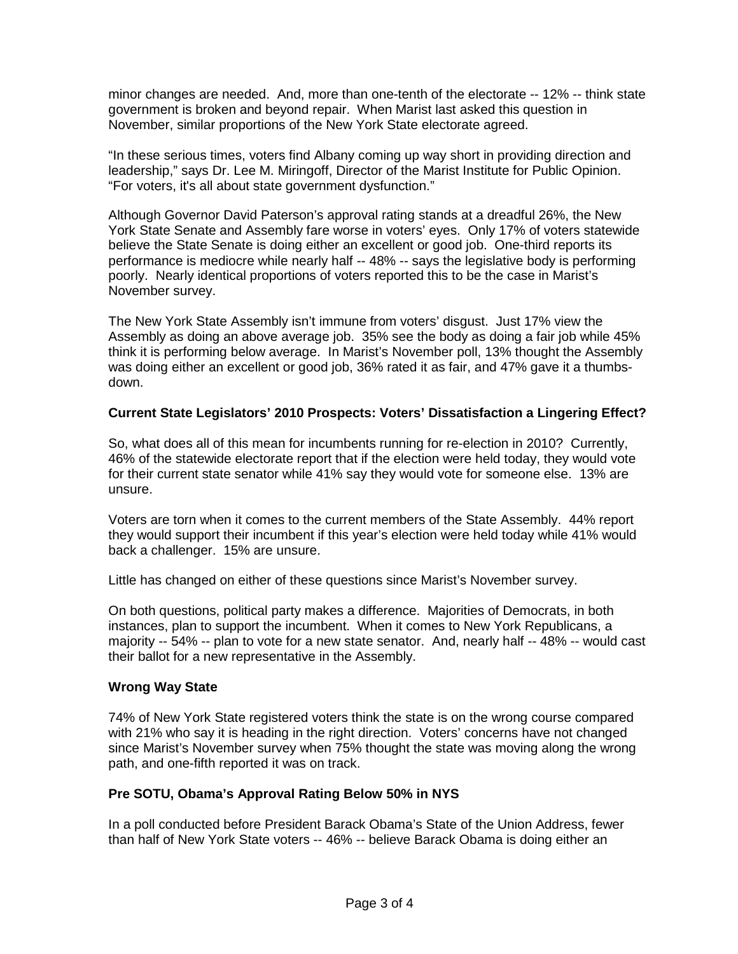minor changes are needed. And, more than one-tenth of the electorate -- 12% -- think state government is broken and beyond repair. When Marist last asked this question in November, similar proportions of the New York State electorate agreed.

"In these serious times, voters find Albany coming up way short in providing direction and leadership," says Dr. Lee M. Miringoff, Director of the Marist Institute for Public Opinion. "For voters, it's all about state government dysfunction."

Although Governor David Paterson's approval rating stands at a dreadful 26%, the New York State Senate and Assembly fare worse in voters' eyes. Only 17% of voters statewide believe the State Senate is doing either an excellent or good job. One-third reports its performance is mediocre while nearly half -- 48% -- says the legislative body is performing poorly. Nearly identical proportions of voters reported this to be the case in Marist's November survey.

The New York State Assembly isn't immune from voters' disgust. Just 17% view the Assembly as doing an above average job. 35% see the body as doing a fair job while 45% think it is performing below average. In Marist's November poll, 13% thought the Assembly was doing either an excellent or good job, 36% rated it as fair, and 47% gave it a thumbsdown.

# **Current State Legislators' 2010 Prospects: Voters' Dissatisfaction a Lingering Effect?**

So, what does all of this mean for incumbents running for re-election in 2010? Currently, 46% of the statewide electorate report that if the election were held today, they would vote for their current state senator while 41% say they would vote for someone else. 13% are unsure.

Voters are torn when it comes to the current members of the State Assembly. 44% report they would support their incumbent if this year's election were held today while 41% would back a challenger. 15% are unsure.

Little has changed on either of these questions since Marist's November survey.

On both questions, political party makes a difference. Majorities of Democrats, in both instances, plan to support the incumbent. When it comes to New York Republicans, a majority -- 54% -- plan to vote for a new state senator. And, nearly half -- 48% -- would cast their ballot for a new representative in the Assembly.

# **Wrong Way State**

74% of New York State registered voters think the state is on the wrong course compared with 21% who say it is heading in the right direction. Voters' concerns have not changed since Marist's November survey when 75% thought the state was moving along the wrong path, and one-fifth reported it was on track.

# **Pre SOTU, Obama's Approval Rating Below 50% in NYS**

In a poll conducted before President Barack Obama's State of the Union Address, fewer than half of New York State voters -- 46% -- believe Barack Obama is doing either an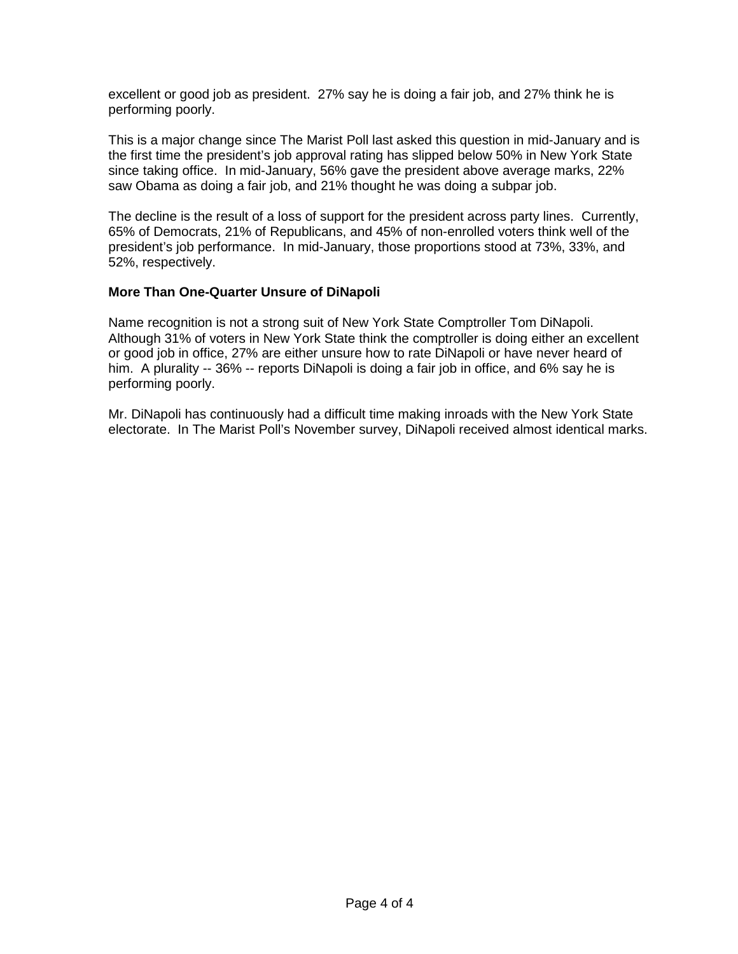excellent or good job as president. 27% say he is doing a fair job, and 27% think he is performing poorly.

This is a major change since The Marist Poll last asked this question in mid-January and is the first time the president's job approval rating has slipped below 50% in New York State since taking office. In mid-January, 56% gave the president above average marks, 22% saw Obama as doing a fair job, and 21% thought he was doing a subpar job.

The decline is the result of a loss of support for the president across party lines. Currently, 65% of Democrats, 21% of Republicans, and 45% of non-enrolled voters think well of the president's job performance. In mid-January, those proportions stood at 73%, 33%, and 52%, respectively.

# **More Than One-Quarter Unsure of DiNapoli**

Name recognition is not a strong suit of New York State Comptroller Tom DiNapoli. Although 31% of voters in New York State think the comptroller is doing either an excellent or good job in office, 27% are either unsure how to rate DiNapoli or have never heard of him. A plurality -- 36% -- reports DiNapoli is doing a fair job in office, and 6% say he is performing poorly.

Mr. DiNapoli has continuously had a difficult time making inroads with the New York State electorate. In The Marist Poll's November survey, DiNapoli received almost identical marks.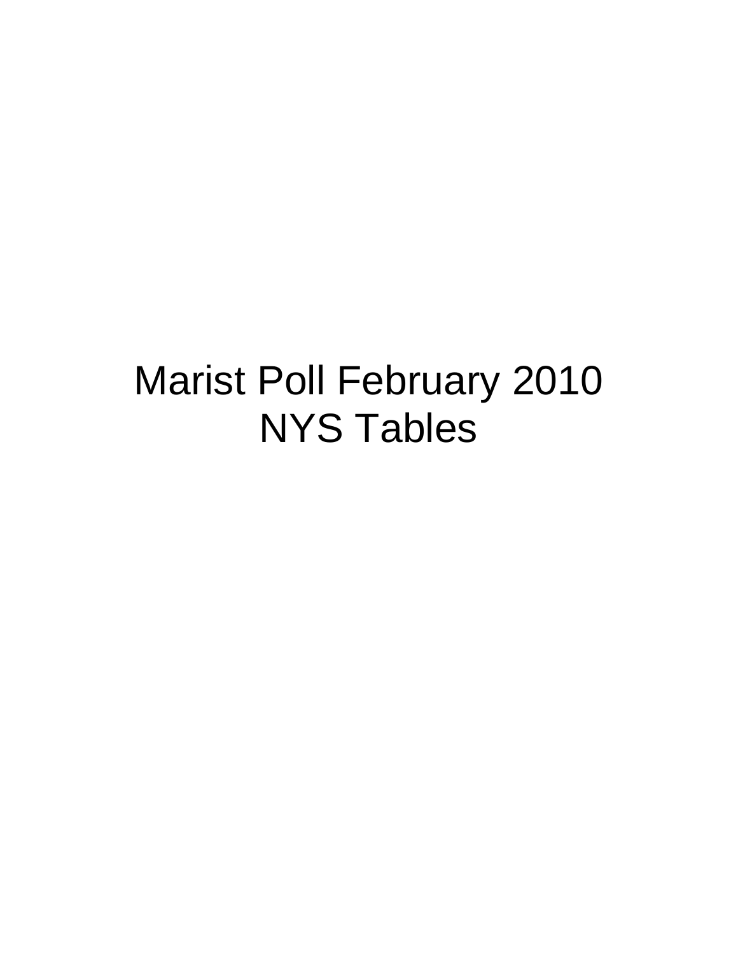# Marist Poll February 2010 NYS Tables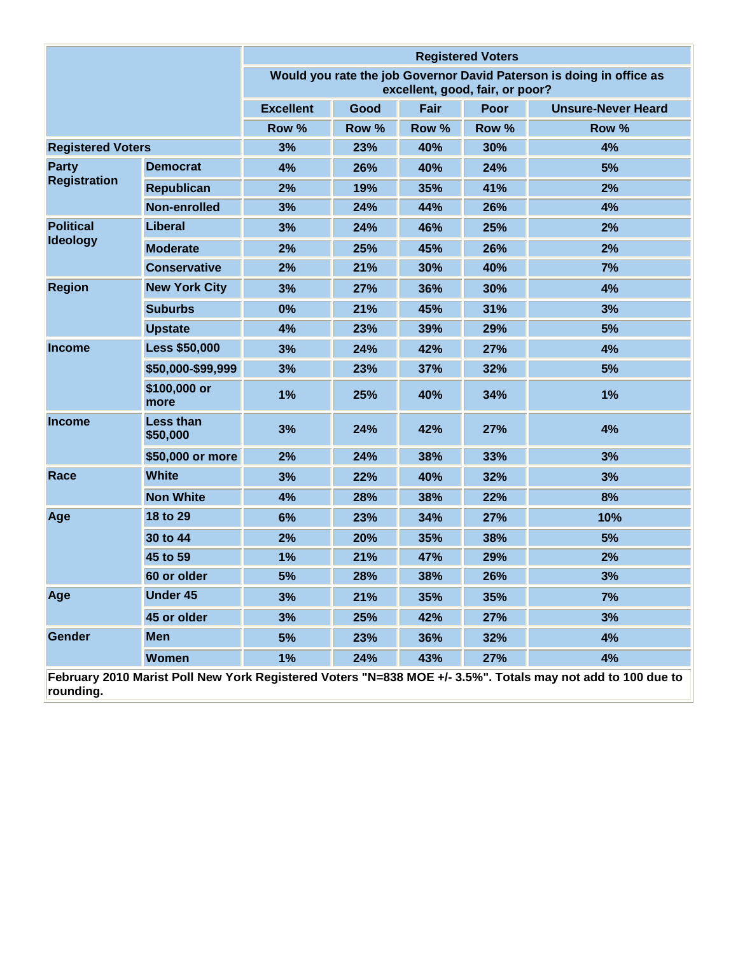|                          |                              | <b>Registered Voters</b> |                                                                                                         |       |       |                                                                                                             |  |
|--------------------------|------------------------------|--------------------------|---------------------------------------------------------------------------------------------------------|-------|-------|-------------------------------------------------------------------------------------------------------------|--|
|                          |                              |                          | Would you rate the job Governor David Paterson is doing in office as<br>excellent, good, fair, or poor? |       |       |                                                                                                             |  |
|                          |                              | <b>Excellent</b>         | Good                                                                                                    | Fair  | Poor  | <b>Unsure-Never Heard</b>                                                                                   |  |
|                          |                              | Row %                    | Row %                                                                                                   | Row % | Row % | Row %                                                                                                       |  |
| <b>Registered Voters</b> |                              | 3%                       | 23%                                                                                                     | 40%   | 30%   | 4%                                                                                                          |  |
| Party                    | <b>Democrat</b>              | 4%                       | 26%                                                                                                     | 40%   | 24%   | 5%                                                                                                          |  |
| <b>Registration</b>      | <b>Republican</b>            | 2%                       | 19%                                                                                                     | 35%   | 41%   | 2%                                                                                                          |  |
|                          | Non-enrolled                 | 3%                       | 24%                                                                                                     | 44%   | 26%   | 4%                                                                                                          |  |
| <b>Political</b>         | <b>Liberal</b>               | 3%                       | 24%                                                                                                     | 46%   | 25%   | 2%                                                                                                          |  |
| Ideology                 | <b>Moderate</b>              | 2%                       | 25%                                                                                                     | 45%   | 26%   | 2%                                                                                                          |  |
|                          | <b>Conservative</b>          | 2%                       | 21%                                                                                                     | 30%   | 40%   | 7%                                                                                                          |  |
| <b>Region</b>            | <b>New York City</b>         | 3%                       | 27%                                                                                                     | 36%   | 30%   | 4%                                                                                                          |  |
|                          | <b>Suburbs</b>               | 0%                       | 21%                                                                                                     | 45%   | 31%   | 3%                                                                                                          |  |
|                          | <b>Upstate</b>               | 4%                       | 23%                                                                                                     | 39%   | 29%   | 5%                                                                                                          |  |
| <b>Income</b>            | <b>Less \$50,000</b>         | 3%                       | 24%                                                                                                     | 42%   | 27%   | 4%                                                                                                          |  |
|                          | \$50,000-\$99,999            | 3%                       | 23%                                                                                                     | 37%   | 32%   | 5%                                                                                                          |  |
|                          | \$100,000 or<br>more         | 1%                       | 25%                                                                                                     | 40%   | 34%   | 1%                                                                                                          |  |
| <b>Income</b>            | <b>Less than</b><br>\$50,000 | 3%                       | 24%                                                                                                     | 42%   | 27%   | 4%                                                                                                          |  |
|                          | \$50,000 or more             | 2%                       | 24%                                                                                                     | 38%   | 33%   | 3%                                                                                                          |  |
| Race                     | <b>White</b>                 | 3%                       | 22%                                                                                                     | 40%   | 32%   | 3%                                                                                                          |  |
|                          | <b>Non White</b>             | 4%                       | 28%                                                                                                     | 38%   | 22%   | 8%                                                                                                          |  |
| Age                      | 18 to 29                     | 6%                       | 23%                                                                                                     | 34%   | 27%   | 10%                                                                                                         |  |
|                          | 30 to 44                     | 2%                       | 20%                                                                                                     | 35%   | 38%   | 5%                                                                                                          |  |
|                          | 45 to 59                     | 1%                       | 21%                                                                                                     | 47%   | 29%   | 2%                                                                                                          |  |
|                          | 60 or older                  | 5%                       | 28%                                                                                                     | 38%   | 26%   | 3%                                                                                                          |  |
| Age                      | <b>Under 45</b>              | 3%                       | 21%                                                                                                     | 35%   | 35%   | 7%                                                                                                          |  |
|                          | 45 or older                  | 3%                       | 25%                                                                                                     | 42%   | 27%   | 3%                                                                                                          |  |
| <b>Gender</b>            | <b>Men</b>                   | 5%                       | 23%                                                                                                     | 36%   | 32%   | 4%                                                                                                          |  |
|                          | <b>Women</b>                 | 1%                       | 24%                                                                                                     | 43%   | 27%   | 4%                                                                                                          |  |
| rounding.                |                              |                          |                                                                                                         |       |       | February 2010 Marist Poll New York Registered Voters "N=838 MOE +/- 3.5%". Totals may not add to 100 due to |  |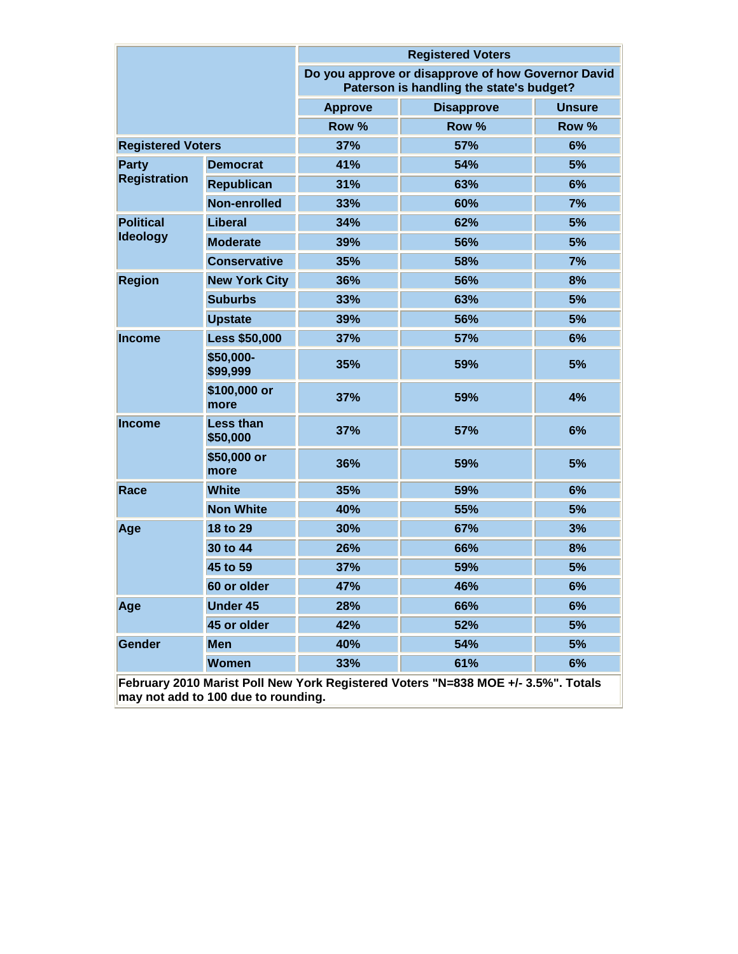|                                                                                                                          |                              |                | <b>Registered Voters</b>                                                                       |               |  |  |  |
|--------------------------------------------------------------------------------------------------------------------------|------------------------------|----------------|------------------------------------------------------------------------------------------------|---------------|--|--|--|
|                                                                                                                          |                              |                | Do you approve or disapprove of how Governor David<br>Paterson is handling the state's budget? |               |  |  |  |
|                                                                                                                          |                              | <b>Approve</b> | <b>Disapprove</b>                                                                              | <b>Unsure</b> |  |  |  |
|                                                                                                                          |                              | Row %          | Row %                                                                                          | Row %         |  |  |  |
| <b>Registered Voters</b>                                                                                                 |                              | 37%            | 57%                                                                                            | 6%            |  |  |  |
| <b>Party</b>                                                                                                             | <b>Democrat</b>              | 41%            | 54%                                                                                            | 5%            |  |  |  |
| <b>Registration</b>                                                                                                      | <b>Republican</b>            | 31%            | 63%                                                                                            | 6%            |  |  |  |
|                                                                                                                          | Non-enrolled                 | 33%            | 60%                                                                                            | 7%            |  |  |  |
| <b>Political</b>                                                                                                         | Liberal                      | 34%            | 62%                                                                                            | 5%            |  |  |  |
| <b>Ideology</b>                                                                                                          | <b>Moderate</b>              | 39%            | 56%                                                                                            | 5%            |  |  |  |
|                                                                                                                          | <b>Conservative</b>          | 35%            | 58%                                                                                            | 7%            |  |  |  |
| <b>Region</b>                                                                                                            | <b>New York City</b>         | 36%            | 56%                                                                                            | 8%            |  |  |  |
|                                                                                                                          | <b>Suburbs</b>               | 33%            | 63%                                                                                            | 5%            |  |  |  |
|                                                                                                                          | <b>Upstate</b>               | 39%            | 56%                                                                                            | 5%            |  |  |  |
| Income                                                                                                                   | <b>Less \$50,000</b>         | 37%            | 57%                                                                                            | 6%            |  |  |  |
|                                                                                                                          | \$50,000-<br>\$99,999        | 35%            | 59%                                                                                            | 5%            |  |  |  |
|                                                                                                                          | \$100,000 or<br>more         | 37%            | 59%                                                                                            | 4%            |  |  |  |
| <b>Income</b>                                                                                                            | <b>Less than</b><br>\$50,000 | 37%            | 57%                                                                                            | 6%            |  |  |  |
|                                                                                                                          | \$50,000 or<br>more          | 36%            | 59%                                                                                            | 5%            |  |  |  |
| Race                                                                                                                     | <b>White</b>                 | 35%            | 59%                                                                                            | 6%            |  |  |  |
|                                                                                                                          | <b>Non White</b>             | 40%            | 55%                                                                                            | 5%            |  |  |  |
| Age                                                                                                                      | 18 to 29                     | 30%            | 67%                                                                                            | 3%            |  |  |  |
|                                                                                                                          | 30 to 44                     | 26%            | 66%                                                                                            | 8%            |  |  |  |
|                                                                                                                          | 45 to 59                     | 37%            | 59%                                                                                            | 5%            |  |  |  |
|                                                                                                                          | 60 or older                  | 47%            | 46%                                                                                            | <b>6%</b>     |  |  |  |
| Age                                                                                                                      | <b>Under 45</b>              | 28%            | 66%                                                                                            | 6%            |  |  |  |
|                                                                                                                          | 45 or older                  | 42%            | 52%                                                                                            | 5%            |  |  |  |
| Gender                                                                                                                   | <b>Men</b>                   | 40%            | 54%                                                                                            | 5%            |  |  |  |
|                                                                                                                          | <b>Women</b>                 | 33%            | 61%                                                                                            | 6%            |  |  |  |
| February 2010 Marist Poll New York Registered Voters "N=838 MOE +/- 3.5%". Totals<br>may not add to 100 due to rounding. |                              |                |                                                                                                |               |  |  |  |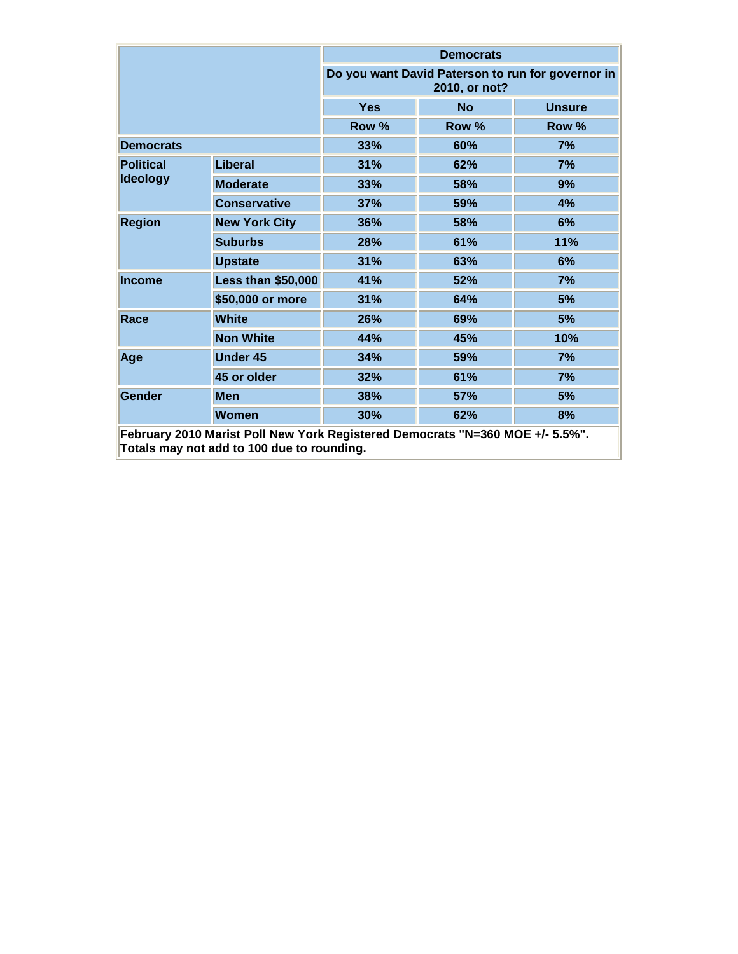|                                                                                                                             |                           | <b>Democrats</b>                                                   |           |               |  |  |
|-----------------------------------------------------------------------------------------------------------------------------|---------------------------|--------------------------------------------------------------------|-----------|---------------|--|--|
|                                                                                                                             |                           | Do you want David Paterson to run for governor in<br>2010, or not? |           |               |  |  |
|                                                                                                                             |                           | <b>Yes</b>                                                         | <b>No</b> | <b>Unsure</b> |  |  |
|                                                                                                                             |                           | Row %                                                              | Row %     | Row %         |  |  |
| <b>Democrats</b>                                                                                                            |                           | 33%                                                                | 60%       | 7%            |  |  |
| <b>Political</b>                                                                                                            | Liberal                   | 31%                                                                | 62%       | 7%            |  |  |
| <b>Ideology</b>                                                                                                             | <b>Moderate</b>           | 33%                                                                | 58%       | 9%            |  |  |
|                                                                                                                             | <b>Conservative</b>       | 37%                                                                | 59%       | 4%            |  |  |
| <b>Region</b>                                                                                                               | <b>New York City</b>      | 36%                                                                | 58%       | 6%            |  |  |
|                                                                                                                             | <b>Suburbs</b>            | 28%                                                                | 61%       | 11%           |  |  |
|                                                                                                                             | <b>Upstate</b>            | 31%                                                                | 63%       | 6%            |  |  |
| <b>Income</b>                                                                                                               | <b>Less than \$50,000</b> | 41%                                                                | 52%       | 7%            |  |  |
|                                                                                                                             | \$50,000 or more          | 31%                                                                | 64%       | 5%            |  |  |
| Race                                                                                                                        | <b>White</b>              | 26%                                                                | 69%       | 5%            |  |  |
|                                                                                                                             | <b>Non White</b>          | 44%                                                                | 45%       | 10%           |  |  |
| Age                                                                                                                         | <b>Under 45</b>           | 34%                                                                | 59%       | 7%            |  |  |
|                                                                                                                             | 45 or older               | 32%                                                                | 61%       | 7%            |  |  |
| <b>Gender</b>                                                                                                               | <b>Men</b>                | 38%                                                                | 57%       | 5%            |  |  |
|                                                                                                                             | <b>Women</b>              | 30%                                                                | 62%       | 8%            |  |  |
| February 2010 Marist Poll New York Registered Democrats "N=360 MOE +/- 5.5%".<br>Totals may not add to 100 due to rounding. |                           |                                                                    |           |               |  |  |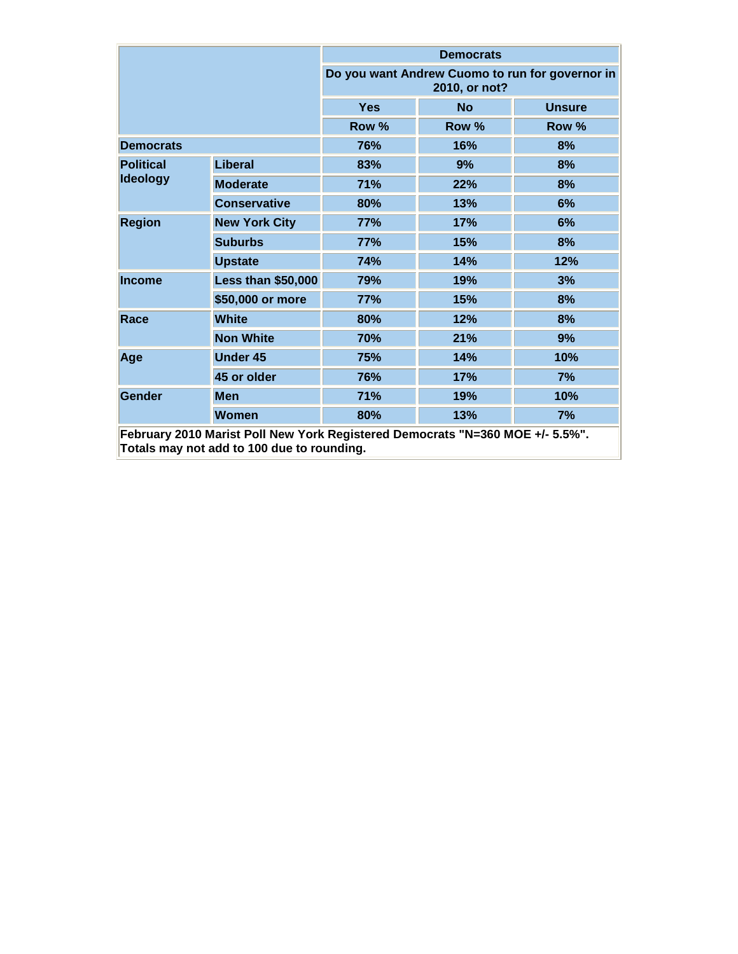|                                                                                                                             |                           | <b>Democrats</b>                                                 |           |               |  |  |
|-----------------------------------------------------------------------------------------------------------------------------|---------------------------|------------------------------------------------------------------|-----------|---------------|--|--|
|                                                                                                                             |                           | Do you want Andrew Cuomo to run for governor in<br>2010, or not? |           |               |  |  |
|                                                                                                                             |                           | <b>Yes</b>                                                       | <b>No</b> | <b>Unsure</b> |  |  |
|                                                                                                                             |                           | Row %                                                            | Row %     | Row %         |  |  |
| <b>Democrats</b>                                                                                                            |                           | 76%                                                              | 16%       | 8%            |  |  |
| <b>Political</b>                                                                                                            | <b>Liberal</b>            | 83%                                                              | 9%        | 8%            |  |  |
| <b>Ideology</b>                                                                                                             | <b>Moderate</b>           | 71%                                                              | 22%       | 8%            |  |  |
|                                                                                                                             | <b>Conservative</b>       | 80%                                                              | 13%       | 6%            |  |  |
| <b>Region</b>                                                                                                               | <b>New York City</b>      | 77%                                                              | 17%       | 6%            |  |  |
|                                                                                                                             | <b>Suburbs</b>            | 77%                                                              | 15%       | 8%            |  |  |
|                                                                                                                             | <b>Upstate</b>            | <b>74%</b>                                                       | 14%       | 12%           |  |  |
| <b>Income</b>                                                                                                               | <b>Less than \$50,000</b> | 79%                                                              | 19%       | 3%            |  |  |
|                                                                                                                             | \$50,000 or more          | 77%                                                              | 15%       | 8%            |  |  |
| Race                                                                                                                        | <b>White</b>              | 80%                                                              | 12%       | 8%            |  |  |
|                                                                                                                             | <b>Non White</b>          | 70%                                                              | 21%       | 9%            |  |  |
| Age                                                                                                                         | <b>Under 45</b>           | 75%                                                              | 14%       | 10%           |  |  |
|                                                                                                                             | 45 or older               | 76%                                                              | 17%       | 7%            |  |  |
| <b>Gender</b>                                                                                                               | <b>Men</b>                | 71%                                                              | 19%       | 10%           |  |  |
|                                                                                                                             | <b>Women</b>              | 80%                                                              | 13%       | 7%            |  |  |
| February 2010 Marist Poll New York Registered Democrats "N=360 MOE +/- 5.5%".<br>Totals may not add to 100 due to rounding. |                           |                                                                  |           |               |  |  |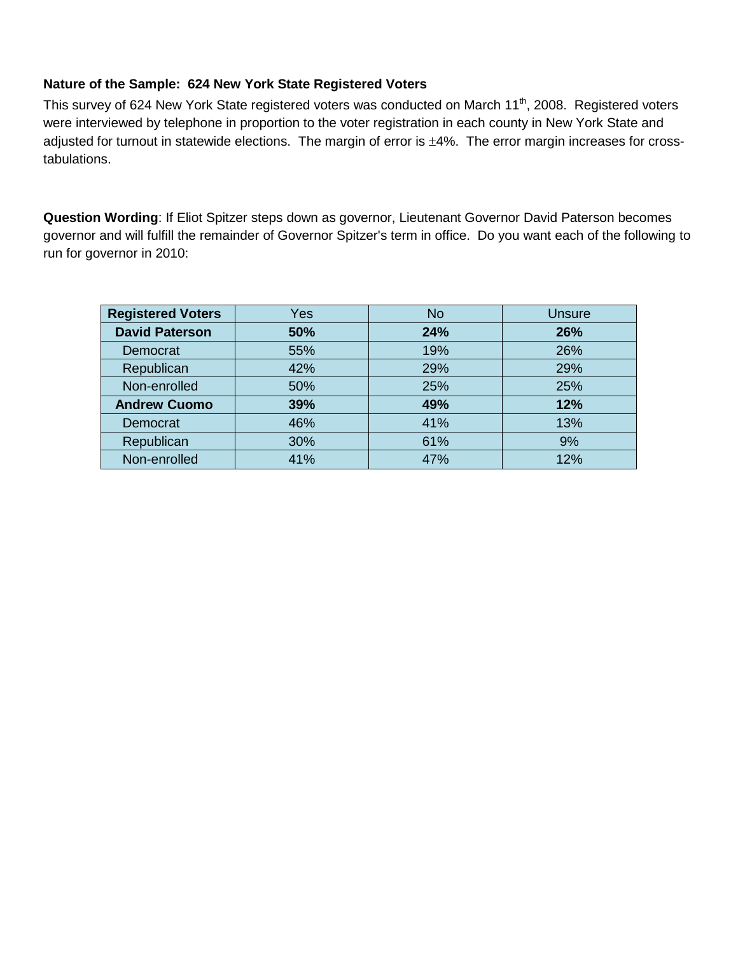# **Nature of the Sample: 624 New York State Registered Voters**

This survey of 624 New York State registered voters was conducted on March 11<sup>th</sup>, 2008. Registered voters were interviewed by telephone in proportion to the voter registration in each county in New York State and adjusted for turnout in statewide elections. The margin of error is  $\pm 4\%$ . The error margin increases for crosstabulations.

**Question Wording**: If Eliot Spitzer steps down as governor, Lieutenant Governor David Paterson becomes governor and will fulfill the remainder of Governor Spitzer's term in office. Do you want each of the following to run for governor in 2010:

| <b>Registered Voters</b> | Yes | <b>No</b> | Unsure |
|--------------------------|-----|-----------|--------|
| <b>David Paterson</b>    | 50% | 24%       | 26%    |
| Democrat                 | 55% | 19%       | 26%    |
| Republican               | 42% | 29%       | 29%    |
| Non-enrolled             | 50% | 25%       | 25%    |
| <b>Andrew Cuomo</b>      | 39% | 49%       | 12%    |
| Democrat                 | 46% | 41%       | 13%    |
| Republican               | 30% | 61%       | 9%     |
| Non-enrolled             | 41% | 47%       | 12%    |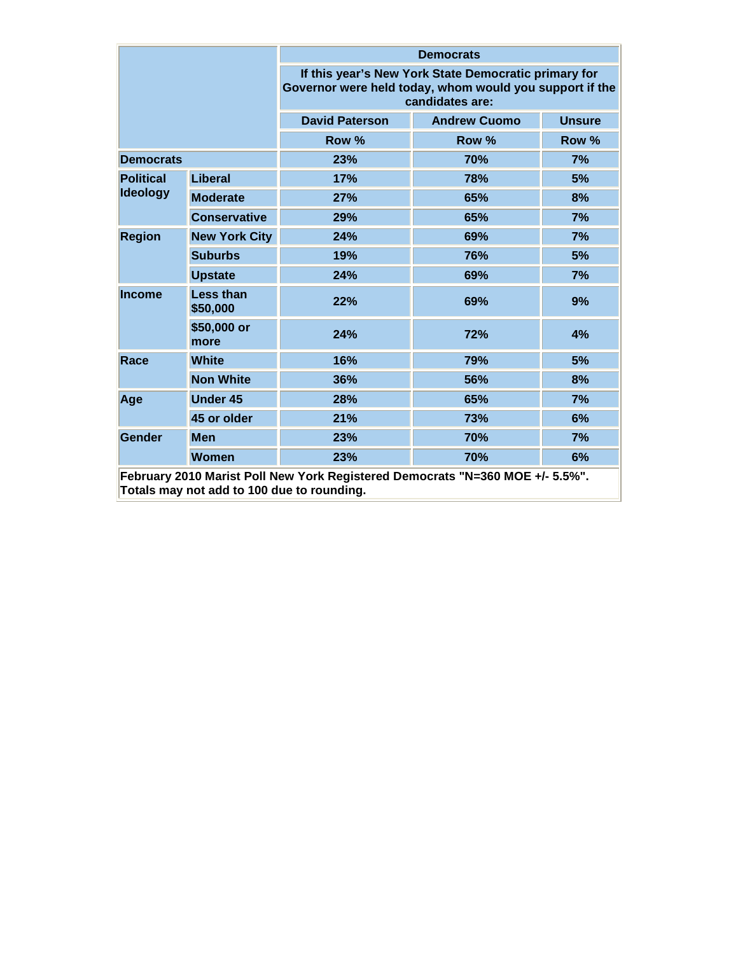|                  |                                            | <b>Democrats</b>                                                                                                                   |                     |               |  |  |
|------------------|--------------------------------------------|------------------------------------------------------------------------------------------------------------------------------------|---------------------|---------------|--|--|
|                  |                                            | If this year's New York State Democratic primary for<br>Governor were held today, whom would you support if the<br>candidates are: |                     |               |  |  |
|                  |                                            | <b>David Paterson</b>                                                                                                              | <b>Andrew Cuomo</b> | <b>Unsure</b> |  |  |
|                  |                                            | Row %                                                                                                                              | Row %               | Row %         |  |  |
| <b>Democrats</b> |                                            | 23%                                                                                                                                | 70%                 | 7%            |  |  |
| <b>Political</b> | Liberal                                    | 17%                                                                                                                                | 78%                 | 5%            |  |  |
| <b>Ideology</b>  | <b>Moderate</b>                            | 27%                                                                                                                                | 65%                 | 8%            |  |  |
|                  | <b>Conservative</b>                        | 29%                                                                                                                                | 65%                 | 7%            |  |  |
| <b>Region</b>    | <b>New York City</b>                       | 24%                                                                                                                                | 69%                 | 7%            |  |  |
|                  | <b>Suburbs</b>                             | 19%                                                                                                                                | 76%                 | 5%            |  |  |
|                  | <b>Upstate</b>                             | 24%                                                                                                                                | 69%                 | 7%            |  |  |
| <b>Income</b>    | <b>Less than</b><br>\$50,000               | 22%                                                                                                                                | 69%                 | 9%            |  |  |
|                  | \$50,000 or<br>more                        | 24%                                                                                                                                | 72%                 | 4%            |  |  |
| <b>Race</b>      | <b>White</b>                               | 16%                                                                                                                                | 79%                 | 5%            |  |  |
|                  | <b>Non White</b>                           | 36%                                                                                                                                | 56%                 | 8%            |  |  |
| Age              | <b>Under 45</b>                            | 28%                                                                                                                                | 65%                 | 7%            |  |  |
|                  | 45 or older                                | 21%                                                                                                                                | 73%                 | 6%            |  |  |
| Gender           | <b>Men</b>                                 | 23%                                                                                                                                | 70%                 | 7%            |  |  |
|                  | <b>Women</b>                               | 23%                                                                                                                                | 70%                 | 6%            |  |  |
|                  | Totals may not add to 100 due to rounding. | February 2010 Marist Poll New York Registered Democrats "N=360 MOE +/- 5.5%".                                                      |                     |               |  |  |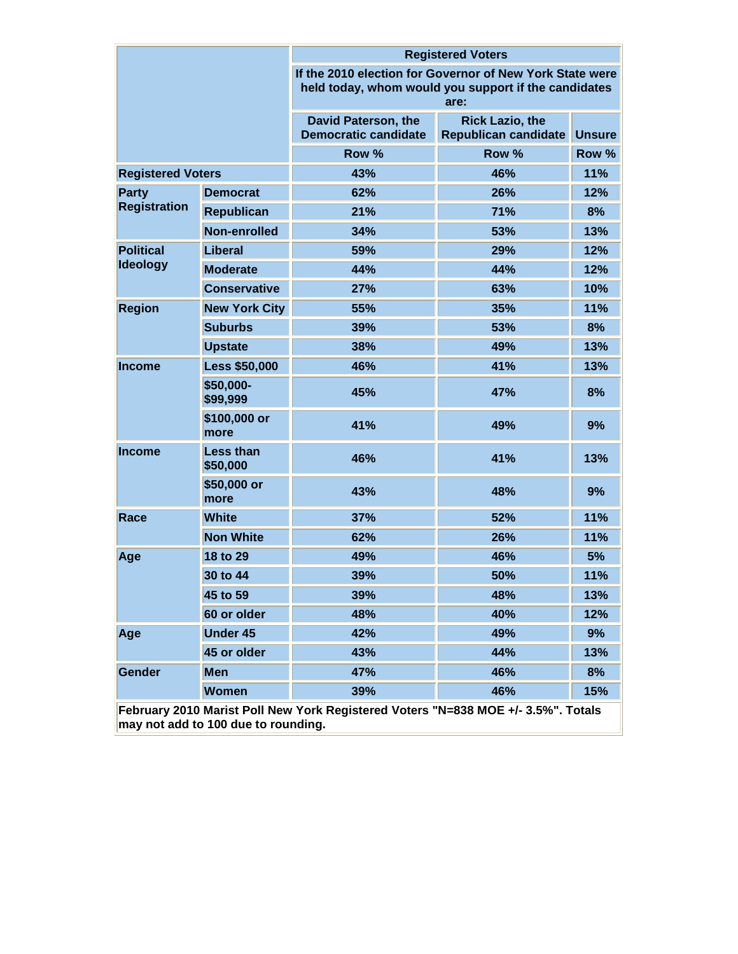|                          |                                     | <b>Registered Voters</b>                                                                                                 |                                                       |               |  |  |
|--------------------------|-------------------------------------|--------------------------------------------------------------------------------------------------------------------------|-------------------------------------------------------|---------------|--|--|
|                          |                                     | If the 2010 election for Governor of New York State were<br>held today, whom would you support if the candidates<br>are: |                                                       |               |  |  |
|                          |                                     | David Paterson, the<br><b>Democratic candidate</b>                                                                       | <b>Rick Lazio, the</b><br><b>Republican candidate</b> | <b>Unsure</b> |  |  |
|                          |                                     | Row %                                                                                                                    | Row %                                                 | Row %         |  |  |
| <b>Registered Voters</b> |                                     | 43%                                                                                                                      | 46%                                                   | 11%           |  |  |
| Party                    | <b>Democrat</b>                     | 62%                                                                                                                      | 26%                                                   | 12%           |  |  |
| <b>Registration</b>      | <b>Republican</b>                   | 21%                                                                                                                      | 71%                                                   | 8%            |  |  |
|                          | Non-enrolled                        | 34%                                                                                                                      | 53%                                                   | 13%           |  |  |
| <b>Political</b>         | Liberal                             | 59%                                                                                                                      | 29%                                                   | 12%           |  |  |
| <b>Ideology</b>          | <b>Moderate</b>                     | 44%                                                                                                                      | 44%                                                   | 12%           |  |  |
|                          | <b>Conservative</b>                 | 27%                                                                                                                      | 63%                                                   | 10%           |  |  |
| <b>Region</b>            | <b>New York City</b>                | 55%                                                                                                                      | 35%                                                   | 11%           |  |  |
|                          | <b>Suburbs</b>                      | 39%                                                                                                                      | 53%                                                   | 8%            |  |  |
|                          | <b>Upstate</b>                      | 38%                                                                                                                      | 49%                                                   | 13%           |  |  |
| <b>Income</b>            | <b>Less \$50,000</b>                | 46%                                                                                                                      | 41%                                                   | 13%           |  |  |
|                          | \$50,000-<br>\$99,999               | 45%                                                                                                                      | 47%                                                   | 8%            |  |  |
|                          | \$100,000 or<br>more                | 41%                                                                                                                      | 49%                                                   | 9%            |  |  |
| <b>Income</b>            | <b>Less than</b><br>\$50,000        | 46%                                                                                                                      | 41%                                                   | 13%           |  |  |
|                          | \$50,000 or<br>more                 | 43%                                                                                                                      | 48%                                                   | 9%            |  |  |
| Race                     | <b>White</b>                        | 37%                                                                                                                      | 52%                                                   | 11%           |  |  |
|                          | <b>Non White</b>                    | 62%                                                                                                                      | 26%                                                   | 11%           |  |  |
| Age                      | 18 to 29                            | 49%                                                                                                                      | 46%                                                   | 5%            |  |  |
|                          | 30 to 44                            | 39%                                                                                                                      | 50%                                                   | 11%           |  |  |
|                          | 45 to 59                            | 39%                                                                                                                      | 48%                                                   | 13%           |  |  |
|                          | 60 or older                         | 48%                                                                                                                      | 40%                                                   | 12%           |  |  |
| Age                      | <b>Under 45</b>                     | 42%                                                                                                                      | 49%                                                   | 9%            |  |  |
|                          | 45 or older                         | 43%                                                                                                                      | 44%                                                   | 13%           |  |  |
| Gender                   | <b>Men</b>                          | 47%                                                                                                                      | 46%                                                   | 8%            |  |  |
|                          | <b>Women</b>                        | 39%                                                                                                                      | 46%                                                   | 15%           |  |  |
|                          | may not add to 100 due to rounding. | February 2010 Marist Poll New York Registered Voters "N=838 MOE +/- 3.5%". Totals                                        |                                                       |               |  |  |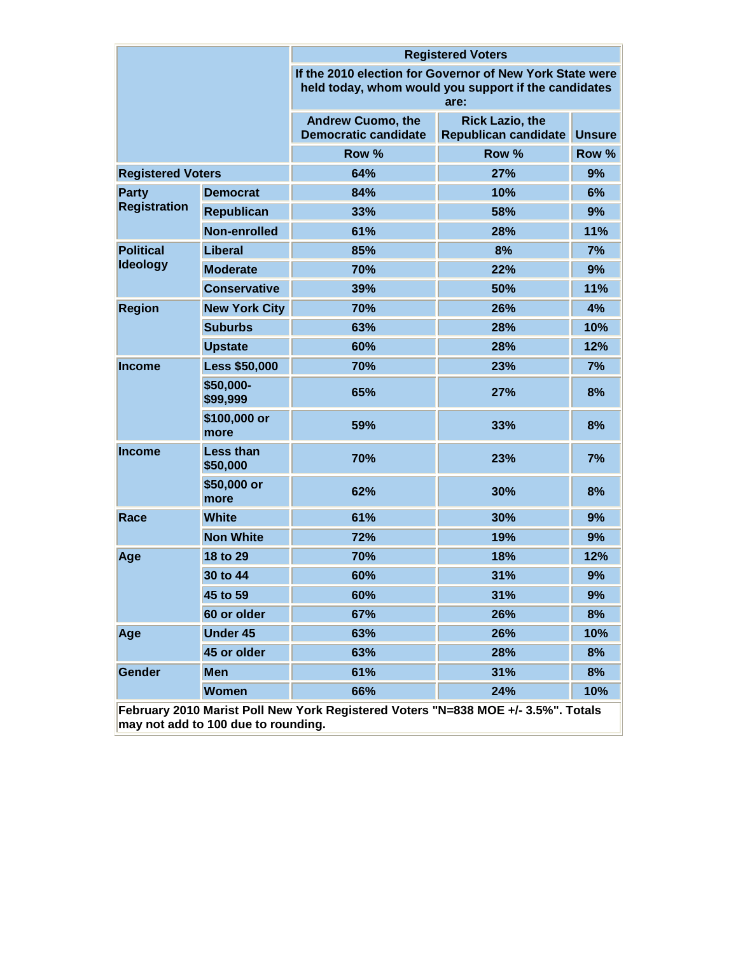|                          |                                     | <b>Registered Voters</b>                                                                                                 |                                                |               |  |  |
|--------------------------|-------------------------------------|--------------------------------------------------------------------------------------------------------------------------|------------------------------------------------|---------------|--|--|
|                          |                                     | If the 2010 election for Governor of New York State were<br>held today, whom would you support if the candidates<br>are: |                                                |               |  |  |
|                          |                                     | <b>Andrew Cuomo, the</b><br><b>Democratic candidate</b>                                                                  | <b>Rick Lazio, the</b><br>Republican candidate | <b>Unsure</b> |  |  |
|                          |                                     | Row %                                                                                                                    | Row %                                          | Row %         |  |  |
| <b>Registered Voters</b> |                                     | 64%                                                                                                                      | 27%                                            | 9%            |  |  |
| <b>Party</b>             | <b>Democrat</b>                     | 84%                                                                                                                      | 10%                                            | 6%            |  |  |
| <b>Registration</b>      | <b>Republican</b>                   | 33%                                                                                                                      | 58%                                            | 9%            |  |  |
|                          | Non-enrolled                        | 61%                                                                                                                      | 28%                                            | 11%           |  |  |
| <b>Political</b>         | Liberal                             | 85%                                                                                                                      | 8%                                             | 7%            |  |  |
| <b>Ideology</b>          | <b>Moderate</b>                     | 70%                                                                                                                      | 22%                                            | 9%            |  |  |
|                          | <b>Conservative</b>                 | 39%                                                                                                                      | 50%                                            | 11%           |  |  |
| <b>Region</b>            | <b>New York City</b>                | 70%                                                                                                                      | 26%                                            | 4%            |  |  |
| <b>Suburbs</b>           |                                     | 63%                                                                                                                      | 28%                                            | 10%           |  |  |
|                          | <b>Upstate</b>                      | 60%                                                                                                                      | 28%                                            | 12%           |  |  |
| <b>Income</b>            | <b>Less \$50,000</b>                | 70%                                                                                                                      | 23%                                            | 7%            |  |  |
|                          | \$50,000-<br>\$99,999               | 65%                                                                                                                      | 27%                                            | 8%            |  |  |
|                          | \$100,000 or<br>more                | 59%                                                                                                                      | 33%                                            | 8%            |  |  |
| <b>Income</b>            | <b>Less than</b><br>\$50,000        | 70%                                                                                                                      | 23%                                            | 7%            |  |  |
|                          | \$50,000 or<br>more                 | 62%                                                                                                                      | 30%                                            | 8%            |  |  |
| Race                     | <b>White</b>                        | 61%                                                                                                                      | 30%                                            | 9%            |  |  |
|                          | <b>Non White</b>                    | 72%                                                                                                                      | 19%                                            | 9%            |  |  |
| Age                      | 18 to 29                            | 70%                                                                                                                      | 18%                                            | 12%           |  |  |
|                          | 30 to 44                            | 60%                                                                                                                      | 31%                                            | 9%            |  |  |
|                          | 45 to 59                            | 60%                                                                                                                      | 31%                                            | 9%            |  |  |
|                          | 60 or older                         | 67%                                                                                                                      | 26%                                            | 8%            |  |  |
| Age                      | <b>Under 45</b>                     | 63%                                                                                                                      | 26%                                            | 10%           |  |  |
|                          | 45 or older                         | 63%                                                                                                                      | 28%                                            | 8%            |  |  |
| Gender                   | <b>Men</b>                          | 61%                                                                                                                      | 31%                                            | 8%            |  |  |
|                          | <b>Women</b>                        | 66%                                                                                                                      | 24%                                            | 10%           |  |  |
|                          | may not add to 100 due to rounding. | February 2010 Marist Poll New York Registered Voters "N=838 MOE +/- 3.5%". Totals                                        |                                                |               |  |  |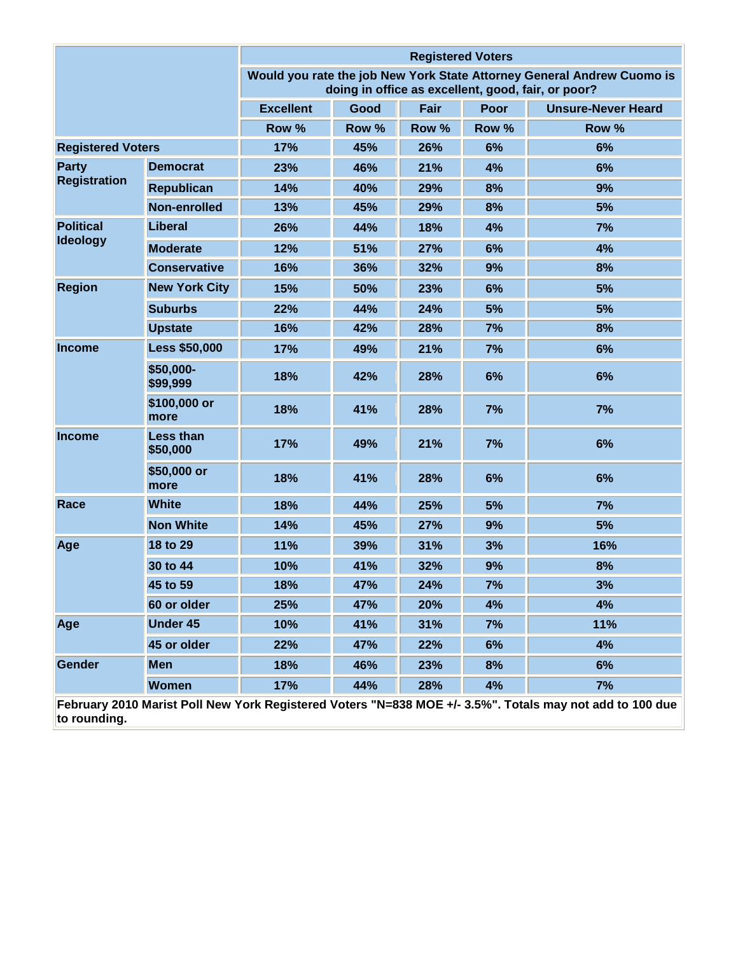|                          |                                                                                                          | <b>Registered Voters</b> |       |       |             |                                                                                                                              |  |
|--------------------------|----------------------------------------------------------------------------------------------------------|--------------------------|-------|-------|-------------|------------------------------------------------------------------------------------------------------------------------------|--|
|                          |                                                                                                          |                          |       |       |             | Would you rate the job New York State Attorney General Andrew Cuomo is<br>doing in office as excellent, good, fair, or poor? |  |
|                          |                                                                                                          | <b>Excellent</b>         | Good  | Fair  | <b>Poor</b> | <b>Unsure-Never Heard</b>                                                                                                    |  |
|                          |                                                                                                          | Row %                    | Row % | Row % | Row %       | Row %                                                                                                                        |  |
| <b>Registered Voters</b> |                                                                                                          | 17%                      | 45%   | 26%   | 6%          | 6%                                                                                                                           |  |
| <b>Party</b>             | <b>Democrat</b>                                                                                          | 23%                      | 46%   | 21%   | 4%          | 6%                                                                                                                           |  |
| <b>Registration</b>      | <b>Republican</b>                                                                                        | 14%                      | 40%   | 29%   | 8%          | 9%                                                                                                                           |  |
|                          | Non-enrolled                                                                                             | 13%                      | 45%   | 29%   | 8%          | 5%                                                                                                                           |  |
| <b>Political</b>         | Liberal                                                                                                  | 26%                      | 44%   | 18%   | 4%          | 7%                                                                                                                           |  |
| <b>Ideology</b>          | <b>Moderate</b>                                                                                          | 12%                      | 51%   | 27%   | 6%          | 4%                                                                                                                           |  |
|                          | <b>Conservative</b>                                                                                      | 16%                      | 36%   | 32%   | 9%          | 8%                                                                                                                           |  |
| <b>Region</b>            | <b>New York City</b>                                                                                     | 15%                      | 50%   | 23%   | 6%          | 5%                                                                                                                           |  |
|                          | <b>Suburbs</b>                                                                                           | 22%                      | 44%   | 24%   | 5%          | 5%                                                                                                                           |  |
|                          | <b>Upstate</b>                                                                                           | 16%                      | 42%   | 28%   | 7%          | 8%                                                                                                                           |  |
| <b>Income</b>            | <b>Less \$50,000</b>                                                                                     | 17%                      | 49%   | 21%   | 7%          | 6%                                                                                                                           |  |
|                          | \$50,000-<br>\$99,999                                                                                    | 18%                      | 42%   | 28%   | 6%          | 6%                                                                                                                           |  |
|                          | \$100,000 or<br>more                                                                                     | 18%                      | 41%   | 28%   | 7%          | 7%                                                                                                                           |  |
| <b>Income</b>            | <b>Less than</b><br>\$50,000                                                                             | 17%                      | 49%   | 21%   | 7%          | 6%                                                                                                                           |  |
|                          | \$50,000 or<br>more                                                                                      | 18%                      | 41%   | 28%   | 6%          | 6%                                                                                                                           |  |
| Race                     | <b>White</b>                                                                                             | 18%                      | 44%   | 25%   | 5%          | 7%                                                                                                                           |  |
|                          | <b>Non White</b>                                                                                         | 14%                      | 45%   | 27%   | 9%          | 5%                                                                                                                           |  |
| Age                      | 18 to 29                                                                                                 | 11%                      | 39%   | 31%   | 3%          | 16%                                                                                                                          |  |
|                          | 30 to 44                                                                                                 | 10%                      | 41%   | 32%   | 9%          | 8%                                                                                                                           |  |
|                          | 45 to 59                                                                                                 | 18%                      | 47%   | 24%   | 7%          | 3%                                                                                                                           |  |
|                          | 60 or older                                                                                              | 25%                      | 47%   | 20%   | 4%          | 4%                                                                                                                           |  |
| Age                      | <b>Under 45</b>                                                                                          | 10%                      | 41%   | 31%   | 7%          | 11%                                                                                                                          |  |
|                          | 45 or older                                                                                              | 22%                      | 47%   | 22%   | 6%          | 4%                                                                                                                           |  |
| Gender                   | <b>Men</b>                                                                                               | 18%                      | 46%   | 23%   | 8%          | 6%                                                                                                                           |  |
|                          | Women                                                                                                    | 17%                      | 44%   | 28%   | 4%          | 7%                                                                                                                           |  |
|                          | February 2010 Marist Poll New York Registered Voters "N=838 MOE +/- 3.5%". Totals may not add to 100 due |                          |       |       |             |                                                                                                                              |  |

**to rounding.**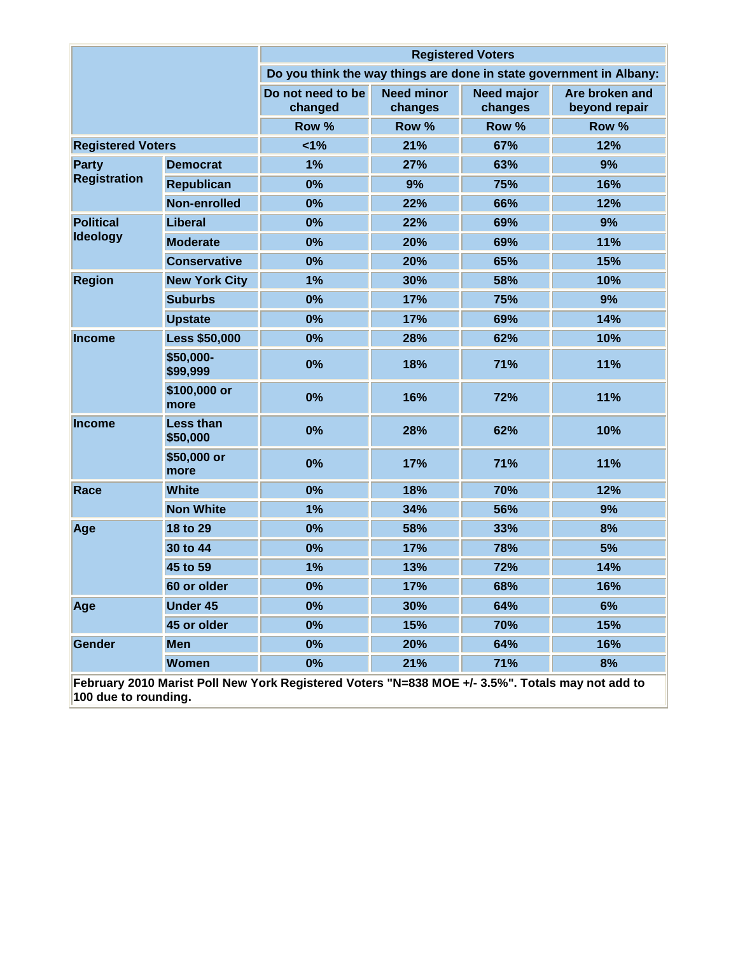|                          |                              |                                                                                                  |                              | <b>Registered Voters</b>     |                                                                     |
|--------------------------|------------------------------|--------------------------------------------------------------------------------------------------|------------------------------|------------------------------|---------------------------------------------------------------------|
|                          |                              |                                                                                                  |                              |                              | Do you think the way things are done in state government in Albany: |
|                          |                              | Do not need to be<br>changed                                                                     | <b>Need minor</b><br>changes | <b>Need major</b><br>changes | Are broken and<br>beyond repair                                     |
|                          |                              | Row %                                                                                            | Row %                        | Row %                        | Row %                                                               |
| <b>Registered Voters</b> |                              | 1%                                                                                               | 21%                          | 67%                          | 12%                                                                 |
| <b>Party</b>             | <b>Democrat</b>              | 1%                                                                                               | 27%                          | 63%                          | 9%                                                                  |
| <b>Registration</b>      | <b>Republican</b>            | 0%                                                                                               | 9%                           | 75%                          | 16%                                                                 |
|                          | Non-enrolled                 | 0%                                                                                               | 22%                          | 66%                          | 12%                                                                 |
| <b>Political</b>         | Liberal                      | 0%                                                                                               | 22%                          | 69%                          | 9%                                                                  |
| <b>Ideology</b>          | <b>Moderate</b>              | 0%                                                                                               | 20%                          | 69%                          | 11%                                                                 |
|                          | <b>Conservative</b>          | 0%                                                                                               | 20%                          | 65%                          | 15%                                                                 |
| <b>Region</b>            | <b>New York City</b>         | 1%                                                                                               | 30%                          | 58%                          | 10%                                                                 |
|                          | <b>Suburbs</b>               | 0%                                                                                               | 17%                          | 75%                          | 9%                                                                  |
|                          | <b>Upstate</b>               | 0%                                                                                               | 17%                          | 69%                          | 14%                                                                 |
| <b>Income</b>            | <b>Less \$50,000</b>         | 0%                                                                                               | 28%                          | 62%                          | 10%                                                                 |
|                          | \$50,000-<br>\$99,999        | 0%                                                                                               | 18%                          | 71%                          | 11%                                                                 |
|                          | \$100,000 or<br>more         | 0%                                                                                               | 16%                          | 72%                          | 11%                                                                 |
| <b>Income</b>            | <b>Less than</b><br>\$50,000 | 0%                                                                                               | 28%                          | 62%                          | 10%                                                                 |
|                          | \$50,000 or<br>more          | 0%                                                                                               | 17%                          | 71%                          | 11%                                                                 |
| Race                     | <b>White</b>                 | 0%                                                                                               | 18%                          | 70%                          | 12%                                                                 |
|                          | <b>Non White</b>             | 1%                                                                                               | 34%                          | 56%                          | 9%                                                                  |
| Age                      | 18 to 29                     | 0%                                                                                               | 58%                          | 33%                          | 8%                                                                  |
|                          | 30 to 44                     | 0%                                                                                               | 17%                          | 78%                          | 5%                                                                  |
|                          | 45 to 59                     | 1%                                                                                               | 13%                          | 72%                          | 14%                                                                 |
|                          | 60 or older                  | $0\%$                                                                                            | 17%                          | 68%                          | 16%                                                                 |
| Age                      | <b>Under 45</b>              | 0%                                                                                               | 30%                          | 64%                          | 6%                                                                  |
|                          | 45 or older                  | 0%                                                                                               | 15%                          | 70%                          | 15%                                                                 |
| Gender                   | <b>Men</b>                   | 0%                                                                                               | 20%                          | 64%                          | 16%                                                                 |
|                          | <b>Women</b>                 | 0%                                                                                               | 21%                          | 71%                          | 8%                                                                  |
| 100 due to rounding.     |                              | February 2010 Marist Poll New York Registered Voters "N=838 MOE +/- 3.5%". Totals may not add to |                              |                              |                                                                     |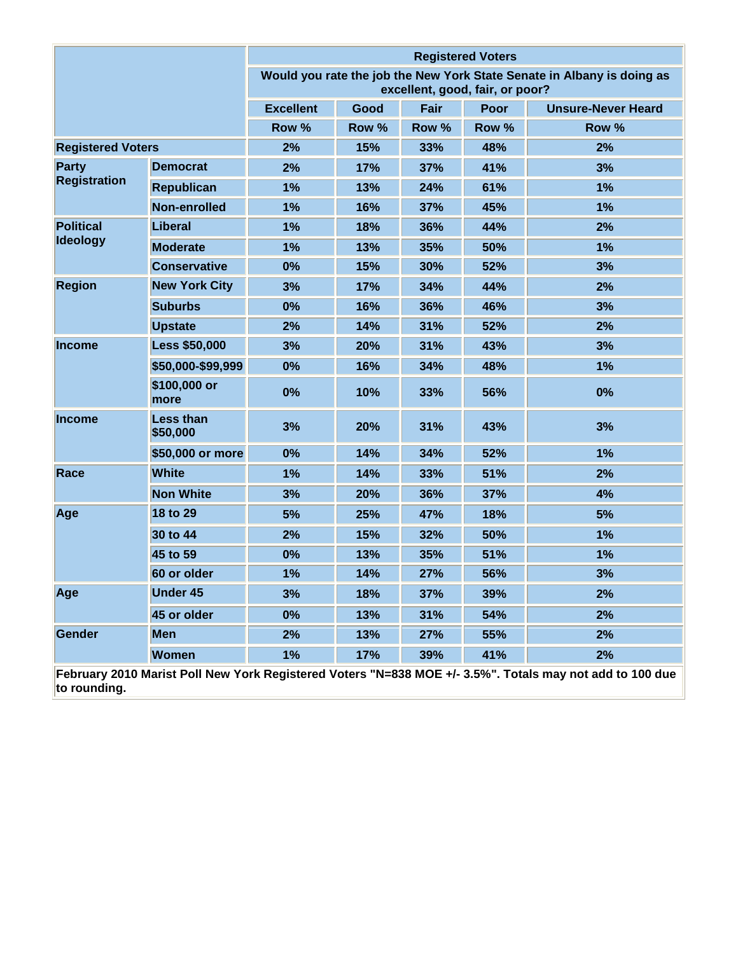|                          |                              | <b>Registered Voters</b> |       |                                 |             |                                                                                                          |
|--------------------------|------------------------------|--------------------------|-------|---------------------------------|-------------|----------------------------------------------------------------------------------------------------------|
|                          |                              |                          |       | excellent, good, fair, or poor? |             | Would you rate the job the New York State Senate in Albany is doing as                                   |
|                          |                              | <b>Excellent</b>         | Good  | Fair                            | <b>Poor</b> | <b>Unsure-Never Heard</b>                                                                                |
|                          |                              | Row %                    | Row % | Row %                           | Row %       | Row %                                                                                                    |
| <b>Registered Voters</b> |                              | 2%                       | 15%   | 33%                             | 48%         | 2%                                                                                                       |
| <b>Party</b>             | <b>Democrat</b>              | 2%                       | 17%   | 37%                             | 41%         | 3%                                                                                                       |
| <b>Registration</b>      | <b>Republican</b>            | 1%                       | 13%   | 24%                             | 61%         | 1%                                                                                                       |
|                          | Non-enrolled                 | 1%                       | 16%   | 37%                             | 45%         | 1%                                                                                                       |
| <b>Political</b>         | <b>Liberal</b>               | 1%                       | 18%   | 36%                             | 44%         | 2%                                                                                                       |
| <b>Ideology</b>          | <b>Moderate</b>              | 1%                       | 13%   | 35%                             | 50%         | 1%                                                                                                       |
|                          | <b>Conservative</b>          | 0%                       | 15%   | 30%                             | 52%         | 3%                                                                                                       |
| <b>Region</b>            | <b>New York City</b>         | 3%                       | 17%   | 34%                             | 44%         | 2%                                                                                                       |
|                          | <b>Suburbs</b>               | 0%                       | 16%   | 36%                             | 46%         | 3%                                                                                                       |
|                          | <b>Upstate</b>               | 2%                       | 14%   | 31%                             | 52%         | 2%                                                                                                       |
| <b>Income</b>            | <b>Less \$50,000</b>         | 3%                       | 20%   | 31%                             | 43%         | 3%                                                                                                       |
|                          | \$50,000-\$99,999            | 0%                       | 16%   | 34%                             | 48%         | 1%                                                                                                       |
|                          | \$100,000 or<br>more         | 0%                       | 10%   | 33%                             | 56%         | 0%                                                                                                       |
| <b>Income</b>            | <b>Less than</b><br>\$50,000 | 3%                       | 20%   | 31%                             | 43%         | 3%                                                                                                       |
|                          | \$50,000 or more             | 0%                       | 14%   | 34%                             | 52%         | 1%                                                                                                       |
| Race                     | <b>White</b>                 | 1%                       | 14%   | 33%                             | 51%         | 2%                                                                                                       |
|                          | <b>Non White</b>             | 3%                       | 20%   | 36%                             | 37%         | 4%                                                                                                       |
| Age                      | 18 to 29                     | 5%                       | 25%   | 47%                             | 18%         | 5%                                                                                                       |
|                          | 30 to 44                     | 2%                       | 15%   | 32%                             | 50%         | 1%                                                                                                       |
|                          | 45 to 59                     | 0%                       | 13%   | 35%                             | 51%         | 1%                                                                                                       |
|                          | 60 or older                  | 1%                       | 14%   | 27%                             | 56%         | 3%                                                                                                       |
| Age                      | <b>Under 45</b>              | 3%                       | 18%   | 37%                             | 39%         | 2%                                                                                                       |
|                          | 45 or older                  | 0%                       | 13%   | 31%                             | 54%         | 2%                                                                                                       |
| Gender                   | <b>Men</b>                   | 2%                       | 13%   | 27%                             | 55%         | 2%                                                                                                       |
|                          | <b>Women</b>                 | 1%                       | 17%   | 39%                             | 41%         | 2%                                                                                                       |
| to rounding.             |                              |                          |       |                                 |             | February 2010 Marist Poll New York Registered Voters "N=838 MOE +/- 3.5%". Totals may not add to 100 due |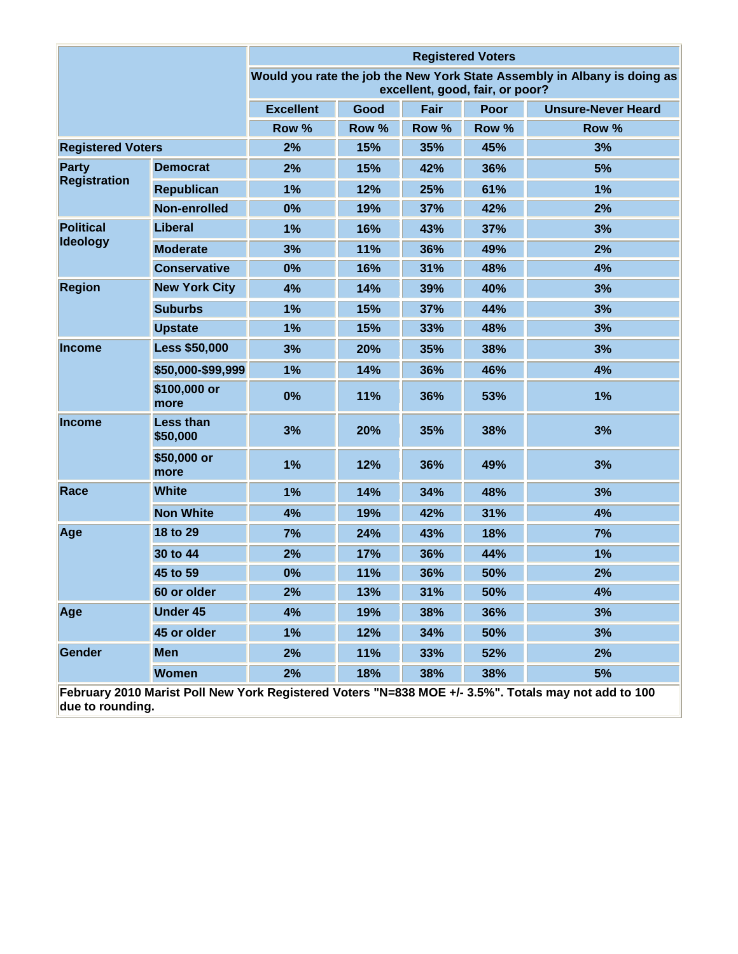|                          |                              |                  |       |       | <b>Registered Voters</b>        |                                                                          |
|--------------------------|------------------------------|------------------|-------|-------|---------------------------------|--------------------------------------------------------------------------|
|                          |                              |                  |       |       | excellent, good, fair, or poor? | Would you rate the job the New York State Assembly in Albany is doing as |
|                          |                              | <b>Excellent</b> | Good  | Fair  | <b>Poor</b>                     | <b>Unsure-Never Heard</b>                                                |
|                          |                              | Row %            | Row % | Row % | Row %                           | Row %                                                                    |
| <b>Registered Voters</b> |                              | 2%               | 15%   | 35%   | 45%                             | 3%                                                                       |
| <b>Party</b>             | <b>Democrat</b>              | 2%               | 15%   | 42%   | 36%                             | 5%                                                                       |
| <b>Registration</b>      | <b>Republican</b>            | 1%               | 12%   | 25%   | 61%                             | 1%                                                                       |
|                          | Non-enrolled                 | 0%               | 19%   | 37%   | 42%                             | 2%                                                                       |
| <b>Political</b>         | <b>Liberal</b>               | 1%               | 16%   | 43%   | 37%                             | 3%                                                                       |
| <b>Ideology</b>          | <b>Moderate</b>              | 3%               | 11%   | 36%   | 49%                             | 2%                                                                       |
|                          | <b>Conservative</b>          | 0%               | 16%   | 31%   | 48%                             | 4%                                                                       |
| <b>Region</b>            | <b>New York City</b>         | 4%               | 14%   | 39%   | 40%                             | 3%                                                                       |
|                          | <b>Suburbs</b>               | 1%               | 15%   | 37%   | 44%                             | 3%                                                                       |
|                          | <b>Upstate</b>               | 1%               | 15%   | 33%   | 48%                             | 3%                                                                       |
| <b>Income</b>            | <b>Less \$50,000</b>         | 3%               | 20%   | 35%   | 38%                             | 3%                                                                       |
|                          | \$50,000-\$99,999            | 1%               | 14%   | 36%   | 46%                             | 4%                                                                       |
|                          | \$100,000 or<br>more         | 0%               | 11%   | 36%   | 53%                             | 1%                                                                       |
| <b>Income</b>            | <b>Less than</b><br>\$50,000 | 3%               | 20%   | 35%   | 38%                             | 3%                                                                       |
|                          | \$50,000 or<br>more          | 1%               | 12%   | 36%   | 49%                             | 3%                                                                       |
| Race                     | <b>White</b>                 | 1%               | 14%   | 34%   | 48%                             | 3%                                                                       |
|                          | <b>Non White</b>             | 4%               | 19%   | 42%   | 31%                             | 4%                                                                       |
| Age                      | 18 to 29                     | 7%               | 24%   | 43%   | 18%                             | 7%                                                                       |
|                          | 30 to 44                     | 2%               | 17%   | 36%   | 44%                             | 1%                                                                       |
|                          | 45 to 59                     | 0%               | 11%   | 36%   | 50%                             | 2%                                                                       |
|                          | 60 or older                  | 2%               | 13%   | 31%   | 50%                             | 4%                                                                       |
| Age                      | <b>Under 45</b>              | 4%               | 19%   | 38%   | 36%                             | 3%                                                                       |
|                          | 45 or older                  | 1%               | 12%   | 34%   | 50%                             | 3%                                                                       |
| Gender                   | <b>Men</b>                   | 2%               | 11%   | 33%   | 52%                             | 2%                                                                       |
|                          | <b>Women</b>                 | 2%               | 18%   | 38%   | 38%                             | 5%                                                                       |

**February 2010 Marist Poll New York Registered Voters "N=838 MOE +/- 3.5%". Totals may not add to 100 due to rounding.**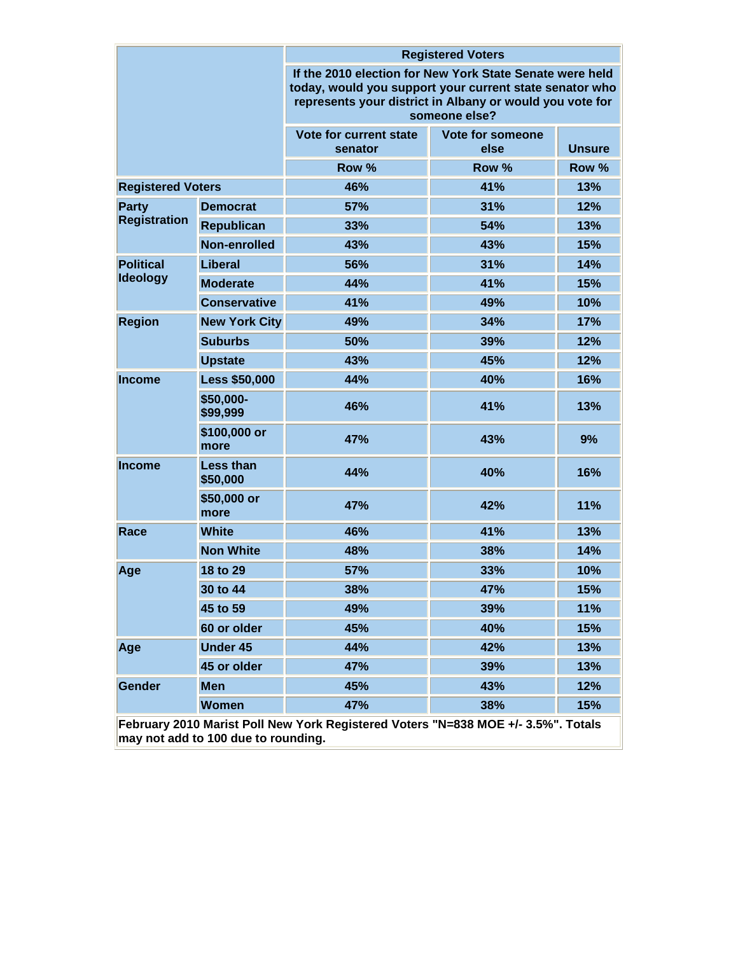|                                                                                   |                              | <b>Registered Voters</b>                                                                                                                                                                         |                          |               |  |  |  |
|-----------------------------------------------------------------------------------|------------------------------|--------------------------------------------------------------------------------------------------------------------------------------------------------------------------------------------------|--------------------------|---------------|--|--|--|
|                                                                                   |                              | If the 2010 election for New York State Senate were held<br>today, would you support your current state senator who<br>represents your district in Albany or would you vote for<br>someone else? |                          |               |  |  |  |
|                                                                                   |                              | Vote for current state<br>senator                                                                                                                                                                | Vote for someone<br>else | <b>Unsure</b> |  |  |  |
|                                                                                   |                              | Row %                                                                                                                                                                                            | Row %                    | Row %         |  |  |  |
| <b>Registered Voters</b>                                                          |                              | 46%                                                                                                                                                                                              | 41%                      | 13%           |  |  |  |
| <b>Party</b>                                                                      | <b>Democrat</b>              | 57%                                                                                                                                                                                              | 31%                      | 12%           |  |  |  |
| <b>Registration</b>                                                               | <b>Republican</b>            | 33%                                                                                                                                                                                              | 54%                      | 13%           |  |  |  |
|                                                                                   | Non-enrolled                 | 43%                                                                                                                                                                                              | 43%                      | 15%           |  |  |  |
| <b>Political</b>                                                                  | <b>Liberal</b>               | 56%                                                                                                                                                                                              | 31%                      | 14%           |  |  |  |
| <b>Ideology</b>                                                                   | <b>Moderate</b>              | 44%                                                                                                                                                                                              | 41%                      | 15%           |  |  |  |
|                                                                                   | <b>Conservative</b>          | 41%                                                                                                                                                                                              | 49%                      | 10%           |  |  |  |
| <b>Region</b>                                                                     | <b>New York City</b>         | 49%                                                                                                                                                                                              | 34%                      | 17%           |  |  |  |
|                                                                                   | <b>Suburbs</b>               | 50%                                                                                                                                                                                              | 39%                      |               |  |  |  |
|                                                                                   | <b>Upstate</b>               | 43%                                                                                                                                                                                              | 45%                      | 12%           |  |  |  |
| <b>Income</b>                                                                     | <b>Less \$50,000</b>         | 44%                                                                                                                                                                                              | 40%                      | 16%           |  |  |  |
|                                                                                   | \$50,000-<br>\$99,999        | 46%<br>41%                                                                                                                                                                                       |                          | 13%           |  |  |  |
|                                                                                   | \$100,000 or<br>more         | 47%                                                                                                                                                                                              | 43%                      | 9%            |  |  |  |
| <b>Income</b>                                                                     | <b>Less than</b><br>\$50,000 | 44%                                                                                                                                                                                              | 40%                      | 16%           |  |  |  |
|                                                                                   | \$50,000 or<br>more          | 47%                                                                                                                                                                                              | 42%                      | <b>11%</b>    |  |  |  |
| Race                                                                              | <b>White</b>                 | 46%                                                                                                                                                                                              | 41%                      | 13%           |  |  |  |
|                                                                                   | <b>Non White</b>             | 48%                                                                                                                                                                                              | 38%                      | 14%           |  |  |  |
| Age                                                                               | 18 to 29                     | 57%                                                                                                                                                                                              | 33%                      | 10%           |  |  |  |
|                                                                                   | 30 to 44                     | 38%                                                                                                                                                                                              | 47%                      | 15%           |  |  |  |
|                                                                                   | 45 to 59                     | 49%                                                                                                                                                                                              | 39%                      | 11%           |  |  |  |
|                                                                                   | 60 or older                  | 45%                                                                                                                                                                                              | 40%                      | 15%           |  |  |  |
| Age                                                                               | <b>Under 45</b>              | 44%                                                                                                                                                                                              | 42%                      | 13%           |  |  |  |
|                                                                                   | 45 or older                  | 47%                                                                                                                                                                                              | 39%                      | 13%           |  |  |  |
| Gender                                                                            | <b>Men</b>                   | 45%                                                                                                                                                                                              | 43%                      | 12%           |  |  |  |
|                                                                                   | <b>Women</b>                 | 47%                                                                                                                                                                                              | 38%                      | 15%           |  |  |  |
| February 2010 Marist Poll New York Registered Voters "N=838 MOE +/- 3.5%". Totals |                              |                                                                                                                                                                                                  |                          |               |  |  |  |

**may not add to 100 due to rounding.**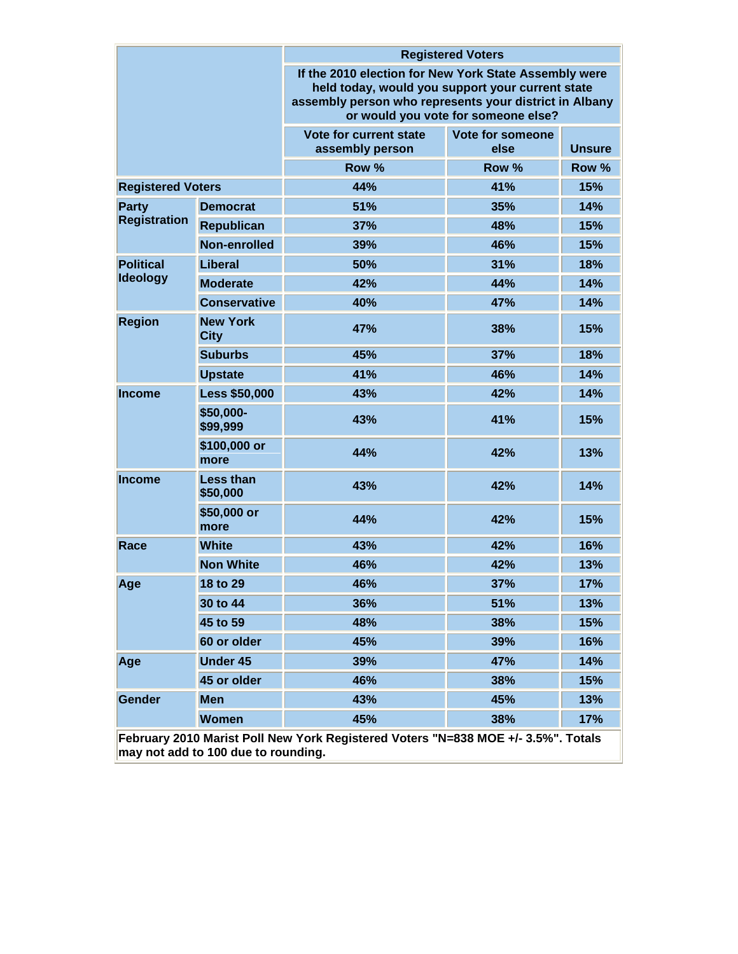|                                                                                                                          |                                | <b>Registered Voters</b>                                                                                                                                                                                   |                          |               |  |  |  |
|--------------------------------------------------------------------------------------------------------------------------|--------------------------------|------------------------------------------------------------------------------------------------------------------------------------------------------------------------------------------------------------|--------------------------|---------------|--|--|--|
|                                                                                                                          |                                | If the 2010 election for New York State Assembly were<br>held today, would you support your current state<br>assembly person who represents your district in Albany<br>or would you vote for someone else? |                          |               |  |  |  |
|                                                                                                                          |                                | Vote for current state<br>assembly person                                                                                                                                                                  | Vote for someone<br>else | <b>Unsure</b> |  |  |  |
|                                                                                                                          |                                | Row %                                                                                                                                                                                                      | Row %                    | Row %         |  |  |  |
| <b>Registered Voters</b>                                                                                                 |                                | 44%                                                                                                                                                                                                        | 41%                      | 15%           |  |  |  |
| <b>Party</b>                                                                                                             | <b>Democrat</b>                | 51%                                                                                                                                                                                                        | 35%                      | 14%           |  |  |  |
| <b>Registration</b>                                                                                                      | <b>Republican</b>              | 37%                                                                                                                                                                                                        | 48%                      | 15%           |  |  |  |
|                                                                                                                          | Non-enrolled                   | 39%<br>46%                                                                                                                                                                                                 |                          | 15%           |  |  |  |
| <b>Political</b>                                                                                                         | <b>Liberal</b>                 | 50%                                                                                                                                                                                                        | 31%                      | 18%           |  |  |  |
| <b>Ideology</b>                                                                                                          | <b>Moderate</b>                | 42%<br>44%                                                                                                                                                                                                 |                          | 14%           |  |  |  |
|                                                                                                                          | <b>Conservative</b>            | 40%                                                                                                                                                                                                        | 47%                      | 14%           |  |  |  |
| <b>Region</b>                                                                                                            | <b>New York</b><br><b>City</b> | 47%                                                                                                                                                                                                        | 38%                      | 15%           |  |  |  |
|                                                                                                                          | <b>Suburbs</b>                 | 45%                                                                                                                                                                                                        | 37%                      | 18%           |  |  |  |
|                                                                                                                          | <b>Upstate</b>                 | 41%                                                                                                                                                                                                        | 46%                      | 14%           |  |  |  |
| Income                                                                                                                   | <b>Less \$50,000</b>           | 43%                                                                                                                                                                                                        | 42%                      | 14%           |  |  |  |
|                                                                                                                          | \$50,000-<br>\$99,999          | 43%                                                                                                                                                                                                        | 41%                      | 15%           |  |  |  |
|                                                                                                                          | \$100,000 or<br>more           | 44%                                                                                                                                                                                                        | 42%                      | 13%           |  |  |  |
| <b>Income</b>                                                                                                            | <b>Less than</b><br>\$50,000   | 43%<br>42%                                                                                                                                                                                                 |                          | 14%           |  |  |  |
|                                                                                                                          | \$50,000 or<br>more            | 44%                                                                                                                                                                                                        | 42%                      | 15%           |  |  |  |
| Race                                                                                                                     | <b>White</b>                   | 43%                                                                                                                                                                                                        | 42%                      |               |  |  |  |
|                                                                                                                          | <b>Non White</b>               | 46%                                                                                                                                                                                                        | 42%                      | 13%           |  |  |  |
| Age                                                                                                                      | 18 to 29                       | 46%                                                                                                                                                                                                        | 37%                      | 17%           |  |  |  |
|                                                                                                                          | 30 to 44                       | 36%                                                                                                                                                                                                        | 51%                      | 13%           |  |  |  |
|                                                                                                                          | 45 to 59                       | 48%                                                                                                                                                                                                        | 38%                      | 15%           |  |  |  |
|                                                                                                                          | 60 or older                    | 45%                                                                                                                                                                                                        | 39%                      | 16%           |  |  |  |
| Age                                                                                                                      | <b>Under 45</b>                | 39%                                                                                                                                                                                                        | 47%                      | 14%           |  |  |  |
|                                                                                                                          | 45 or older                    | 46%                                                                                                                                                                                                        | 38%                      | 15%           |  |  |  |
| Gender                                                                                                                   | <b>Men</b>                     | 43%                                                                                                                                                                                                        | 45%                      | 13%           |  |  |  |
|                                                                                                                          | <b>Women</b>                   | 45%                                                                                                                                                                                                        | 38%                      | 17%           |  |  |  |
| February 2010 Marist Poll New York Registered Voters "N=838 MOE +/- 3.5%". Totals<br>may not add to 100 due to rounding. |                                |                                                                                                                                                                                                            |                          |               |  |  |  |

**may not add to 100 due to rounding.**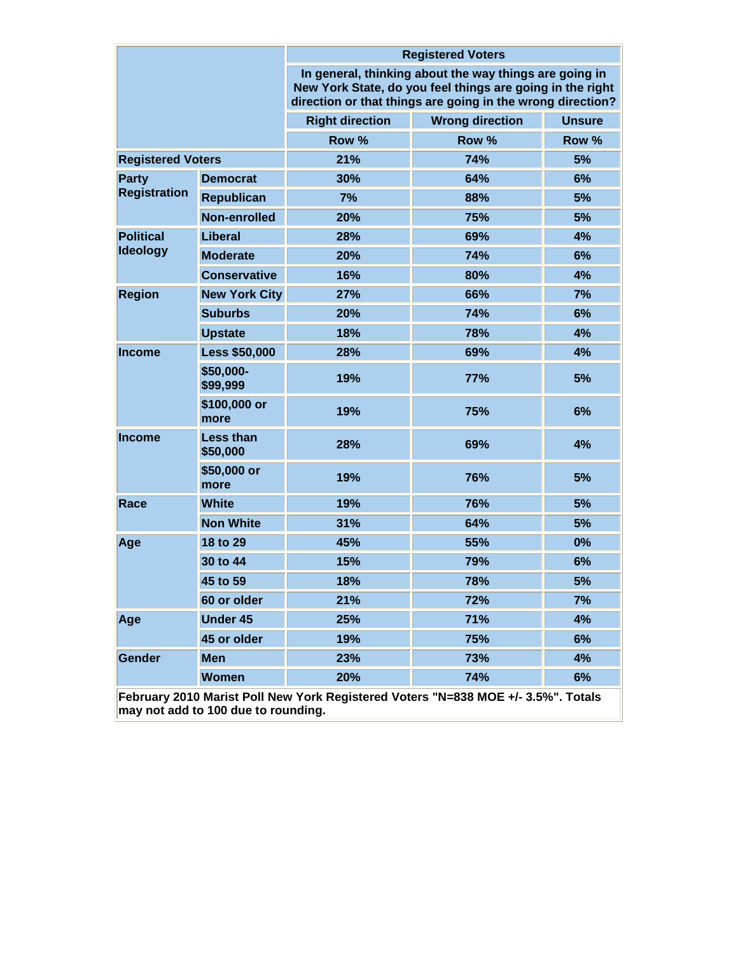|                              |                                     | <b>Registered Voters</b><br>In general, thinking about the way things are going in<br>New York State, do you feel things are going in the right<br>direction or that things are going in the wrong direction? |                                                                                   |               |  |  |
|------------------------------|-------------------------------------|---------------------------------------------------------------------------------------------------------------------------------------------------------------------------------------------------------------|-----------------------------------------------------------------------------------|---------------|--|--|
|                              |                                     |                                                                                                                                                                                                               |                                                                                   |               |  |  |
|                              |                                     | <b>Right direction</b>                                                                                                                                                                                        | <b>Wrong direction</b>                                                            | <b>Unsure</b> |  |  |
|                              |                                     | Row %                                                                                                                                                                                                         | Row %                                                                             | Row %         |  |  |
| <b>Registered Voters</b>     |                                     | 21%                                                                                                                                                                                                           | 74%                                                                               | 5%            |  |  |
| Party<br><b>Registration</b> | <b>Democrat</b>                     | 30%                                                                                                                                                                                                           | 64%                                                                               | 6%            |  |  |
|                              | <b>Republican</b>                   | 7%                                                                                                                                                                                                            | 88%                                                                               | 5%            |  |  |
|                              | Non-enrolled                        | 20%                                                                                                                                                                                                           | 75%                                                                               | 5%            |  |  |
| <b>Political</b>             | Liberal                             | 28%                                                                                                                                                                                                           | 69%                                                                               | 4%            |  |  |
| <b>Ideology</b>              | <b>Moderate</b>                     | 20%                                                                                                                                                                                                           | 74%                                                                               | 6%            |  |  |
|                              | <b>Conservative</b>                 | 16%                                                                                                                                                                                                           | 80%                                                                               | 4%            |  |  |
| <b>Region</b>                | <b>New York City</b>                | 27%                                                                                                                                                                                                           | 66%                                                                               | 7%            |  |  |
|                              | <b>Suburbs</b>                      | 20%                                                                                                                                                                                                           | 74%                                                                               | 6%            |  |  |
|                              | <b>Upstate</b>                      | 18%                                                                                                                                                                                                           | 78%                                                                               | 4%            |  |  |
| <b>Income</b>                | <b>Less \$50,000</b>                | 28%                                                                                                                                                                                                           | 69%                                                                               | 4%            |  |  |
|                              | \$50,000-<br>\$99,999               | 19%                                                                                                                                                                                                           | 77%                                                                               | 5%            |  |  |
|                              | \$100,000 or<br>more                | 19%                                                                                                                                                                                                           | 75%                                                                               | 6%            |  |  |
| <b>Income</b>                | Less than<br>\$50,000               | 28%                                                                                                                                                                                                           | 69%                                                                               | 4%            |  |  |
|                              | \$50,000 or<br>more                 | 19%                                                                                                                                                                                                           | 76%                                                                               | 5%            |  |  |
| Race                         | <b>White</b>                        | 19%                                                                                                                                                                                                           | 76%                                                                               | 5%            |  |  |
|                              | <b>Non White</b>                    | 31%                                                                                                                                                                                                           | 64%                                                                               | 5%            |  |  |
| Age                          | 18 to 29                            | 45%                                                                                                                                                                                                           | 55%                                                                               | 0%            |  |  |
|                              | 30 to 44                            | 15%                                                                                                                                                                                                           | 79%                                                                               | 6%            |  |  |
|                              | 45 to 59                            | 18%                                                                                                                                                                                                           | 78%                                                                               | 5%            |  |  |
|                              | 60 or older                         | 21%                                                                                                                                                                                                           | 72%                                                                               | 7%            |  |  |
| Age                          | <b>Under 45</b>                     | 25%                                                                                                                                                                                                           | 71%                                                                               | 4%            |  |  |
|                              | 45 or older                         | 19%                                                                                                                                                                                                           | 75%                                                                               | 6%            |  |  |
| Gender                       | <b>Men</b>                          | 23%                                                                                                                                                                                                           | 73%                                                                               | 4%            |  |  |
|                              | <b>Women</b>                        | 20%                                                                                                                                                                                                           | 74%                                                                               | 6%            |  |  |
|                              | may not add to 100 due to rounding. |                                                                                                                                                                                                               | February 2010 Marist Poll New York Registered Voters "N=838 MOE +/- 3.5%". Totals |               |  |  |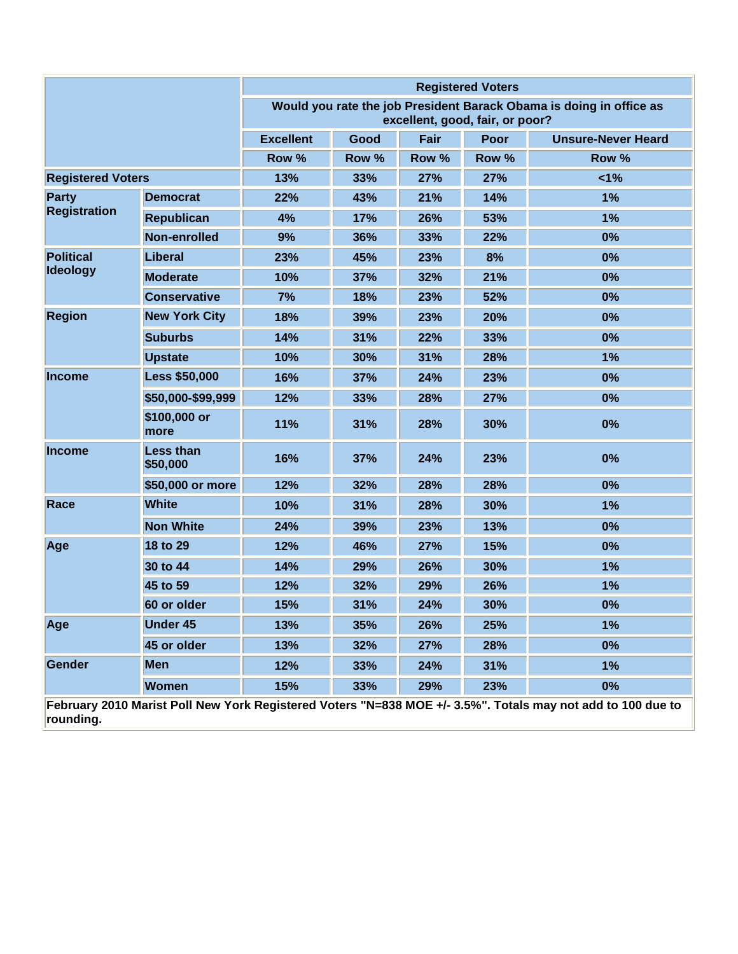|                              |                              | <b>Registered Voters</b>                                                                               |       |       |             |                           |
|------------------------------|------------------------------|--------------------------------------------------------------------------------------------------------|-------|-------|-------------|---------------------------|
|                              |                              | Would you rate the job President Barack Obama is doing in office as<br>excellent, good, fair, or poor? |       |       |             |                           |
|                              |                              | <b>Excellent</b>                                                                                       | Good  | Fair  | <b>Poor</b> | <b>Unsure-Never Heard</b> |
|                              |                              | Row %                                                                                                  | Row % | Row % | Row %       | Row %                     |
| <b>Registered Voters</b>     |                              | 13%                                                                                                    | 33%   | 27%   | 27%         | 1%                        |
| Party<br><b>Registration</b> | <b>Democrat</b>              | 22%                                                                                                    | 43%   | 21%   | 14%         | 1%                        |
|                              | <b>Republican</b>            | 4%                                                                                                     | 17%   | 26%   | 53%         | 1%                        |
|                              | Non-enrolled                 | 9%                                                                                                     | 36%   | 33%   | 22%         | 0%                        |
| <b>Political</b>             | <b>Liberal</b>               | 23%                                                                                                    | 45%   | 23%   | 8%          | 0%                        |
| <b>Ideology</b>              | <b>Moderate</b>              | 10%                                                                                                    | 37%   | 32%   | 21%         | 0%                        |
|                              | <b>Conservative</b>          | 7%                                                                                                     | 18%   | 23%   | 52%         | 0%                        |
| <b>Region</b>                | <b>New York City</b>         | 18%                                                                                                    | 39%   | 23%   | 20%         | 0%                        |
|                              | <b>Suburbs</b>               | 14%                                                                                                    | 31%   | 22%   | 33%         | 0%                        |
|                              | <b>Upstate</b>               | 10%                                                                                                    | 30%   | 31%   | 28%         | 1%                        |
| <b>Income</b>                | <b>Less \$50,000</b>         | 16%                                                                                                    | 37%   | 24%   | 23%         | 0%                        |
|                              | \$50,000-\$99,999            | 12%                                                                                                    | 33%   | 28%   | 27%         | 0%                        |
|                              | \$100,000 or<br>more         | 11%                                                                                                    | 31%   | 28%   | 30%         | 0%                        |
| <b>Income</b>                | <b>Less than</b><br>\$50,000 | 16%                                                                                                    | 37%   | 24%   | 23%         | 0%                        |
|                              | \$50,000 or more             | 12%                                                                                                    | 32%   | 28%   | 28%         | 0%                        |
| Race                         | <b>White</b>                 | 10%                                                                                                    | 31%   | 28%   | 30%         | 1%                        |
|                              | <b>Non White</b>             | 24%                                                                                                    | 39%   | 23%   | 13%         | 0%                        |
| Age                          | 18 to 29                     | 12%                                                                                                    | 46%   | 27%   | 15%         | 0%                        |
|                              | 30 to 44                     | 14%                                                                                                    | 29%   | 26%   | 30%         | 1%                        |
|                              | 45 to 59                     | 12%                                                                                                    | 32%   | 29%   | 26%         | 1%                        |
|                              | 60 or older                  | 15%                                                                                                    | 31%   | 24%   | 30%         | 0%                        |
| Age                          | <b>Under 45</b>              | 13%                                                                                                    | 35%   | 26%   | 25%         | 1%                        |
|                              | 45 or older                  | 13%                                                                                                    | 32%   | 27%   | 28%         | 0%                        |
| Gender                       | <b>Men</b>                   | 12%                                                                                                    | 33%   | 24%   | 31%         | 1%                        |
|                              | Women                        | 15%                                                                                                    | 33%   | 29%   | 23%         | 0%                        |

**February 2010 Marist Poll New York Registered Voters "N=838 MOE +/- 3.5%". Totals may not add to 100 due to rounding.**